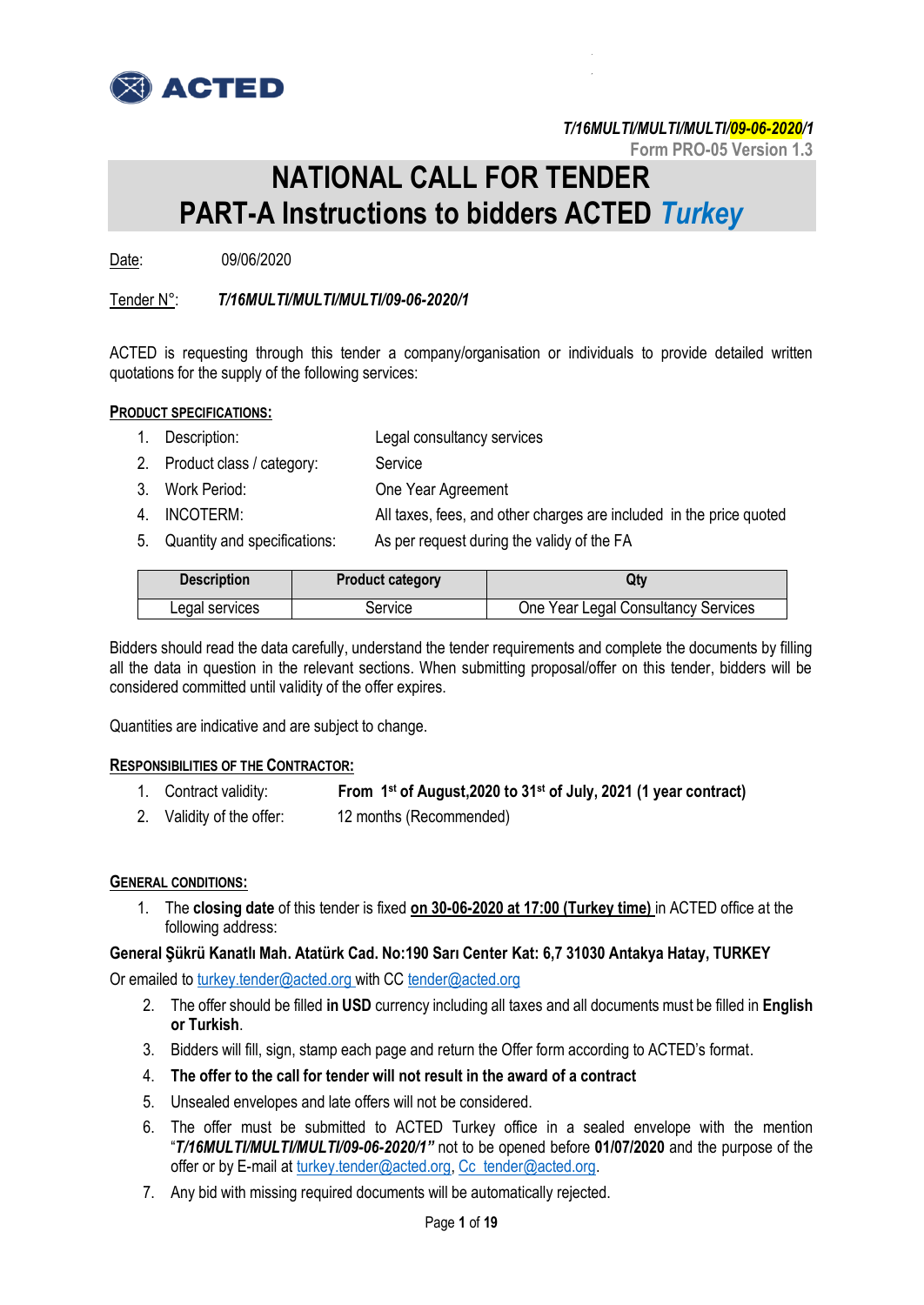

**Form PRO-05 Version 1.3**

# **NATIONAL CALL FOR TENDER PART-A Instructions to bidders ACTED** *Turkey*

Date: 09/06/2020

# Tender N°: *T/16MULTI/MULTI/MULTI/09-06-2020/1*

ACTED is requesting through this tender a company/organisation or individuals to provide detailed written quotations for the supply of the following services:

### **PRODUCT SPECIFICATIONS:**

- 1. Description: Legal consultancy services
- 2. Product class / category: Service
- 3. Work Period: One Year Agreement
- 4. INCOTERM: All taxes, fees, and other charges are included in the price quoted
- 5. Quantity and specifications: As per request during the validy of the FA

| <b>Description</b> | <b>Product category</b> | Qtv                                 |
|--------------------|-------------------------|-------------------------------------|
| Legal services     | Service                 | One Year Legal Consultancy Services |

Bidders should read the data carefully, understand the tender requirements and complete the documents by filling all the data in question in the relevant sections. When submitting proposal/offer on this tender, bidders will be considered committed until validity of the offer expires.

Quantities are indicative and are subject to change.

### **RESPONSIBILITIES OF THE CONTRACTOR:**

- 1. Contract validity: **From 1st of August,2020 to 31st of July, 2021 (1 year contract)**
- 2. Validity of the offer: 12 months (Recommended)

### **GENERAL CONDITIONS:**

1. The **closing date** of this tender is fixed **on 30-06-2020 at 17:00 (Turkey time)** in ACTED office at the following address:

### **General Şükrü Kanatlı Mah. Atatürk Cad. No:190 Sarı Center Kat: 6,7 31030 Antakya Hatay, TURKEY**

Or emailed to turkey.[tender@acted.org](mailto:tender@acted.org) with CC [tender@acted.org](mailto:tender@acted.org)

- 2. The offer should be filled **in USD** currency including all taxes and all documents must be filled in **English or Turkish**.
- 3. Bidders will fill, sign, stamp each page and return the Offer form according to ACTED's format.
- 4. **The offer to the call for tender will not result in the award of a contract**
- 5. Unsealed envelopes and late offers will not be considered.
- 6. The offer must be submitted to ACTED Turkey office in a sealed envelope with the mention "*T/16MULTI/MULTI/MULTI/09-06-2020/1"* not to be opened before **01/07/2020** and the purpose of the offer or by E-mail at [turkey.tender@acted.org,](mailto:turkey.tender@acted.org) Cc tender@acted.org.
- 7. Any bid with missing required documents will be automatically rejected.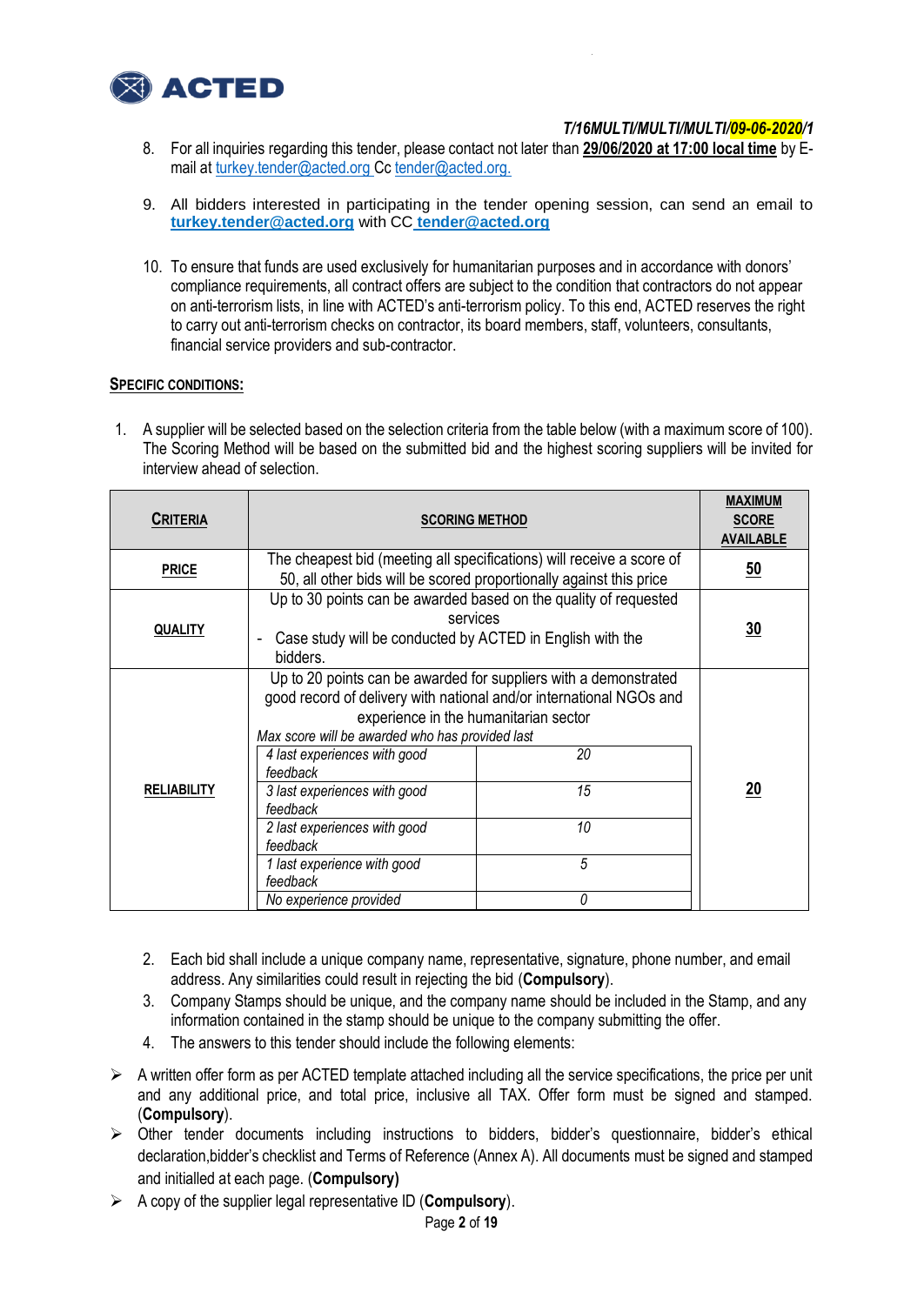

- 8. For all inquiries regarding this tender, please contact not later than **29/06/2020 at 17:00 local time** by Email at [turkey.tender@acted.org](mailto:turkey.tender@acted.org) C[c tender@acted.org.](mailto:tender@acted.org)
- 9. All bidders interested in participating in the tender opening session, can send an email to **turkey.tender@acted.org** with CC **tender@acted.org**
- 10. To ensure that funds are used exclusively for humanitarian purposes and in accordance with donors' compliance requirements, all contract offers are subject to the condition that contractors do not appear on anti-terrorism lists, in line with ACTED's anti-terrorism policy. To this end, ACTED reserves the right to carry out anti-terrorism checks on contractor, its board members, staff, volunteers, consultants, financial service providers and sub-contractor.

### **SPECIFIC CONDITIONS:**

1. A supplier will be selected based on the selection criteria from the table below (with a maximum score of 100). The Scoring Method will be based on the submitted bid and the highest scoring suppliers will be invited for interview ahead of selection.

|                    |                                                                       |              | <b>MAXIMUM</b>   |
|--------------------|-----------------------------------------------------------------------|--------------|------------------|
| <b>CRITERIA</b>    | <b>SCORING METHOD</b>                                                 | <b>SCORE</b> |                  |
|                    |                                                                       |              | <b>AVAILABLE</b> |
| <b>PRICE</b>       | The cheapest bid (meeting all specifications) will receive a score of |              | 50               |
|                    | 50, all other bids will be scored proportionally against this price   |              |                  |
|                    | Up to 30 points can be awarded based on the quality of requested      |              |                  |
|                    | services                                                              |              |                  |
| <b>QUALITY</b>     | Case study will be conducted by ACTED in English with the             |              | 30               |
|                    | bidders.                                                              |              |                  |
|                    | Up to 20 points can be awarded for suppliers with a demonstrated      |              |                  |
|                    | good record of delivery with national and/or international NGOs and   |              |                  |
|                    | experience in the humanitarian sector                                 |              |                  |
|                    | Max score will be awarded who has provided last                       |              |                  |
|                    | 4 last experiences with good                                          | 20           |                  |
|                    | feedback                                                              |              |                  |
| <b>RELIABILITY</b> | 3 last experiences with good                                          | 15           | 20               |
|                    | feedback                                                              |              |                  |
|                    | 2 last experiences with good                                          | 10           |                  |
|                    | feedback                                                              |              |                  |
|                    | 1 last experience with good                                           | 5            |                  |
|                    | feedback                                                              |              |                  |
|                    | No experience provided                                                | 0            |                  |

- 2. Each bid shall include a unique company name, representative, signature, phone number, and email address. Any similarities could result in rejecting the bid (**Compulsory**).
- 3. Company Stamps should be unique, and the company name should be included in the Stamp, and any information contained in the stamp should be unique to the company submitting the offer.
- 4. The answers to this tender should include the following elements:
- $\triangleright$  A written offer form as per ACTED template attached including all the service specifications, the price per unit and any additional price, and total price, inclusive all TAX. Offer form must be signed and stamped. (**Compulsory**).
- $\triangleright$  Other tender documents including instructions to bidders, bidder's questionnaire, bidder's ethical declaration,bidder's checklist and Terms of Reference (Annex A). All documents must be signed and stamped and initialled at each page. (**Compulsory)**
- A copy of the supplier legal representative ID (**Compulsory**).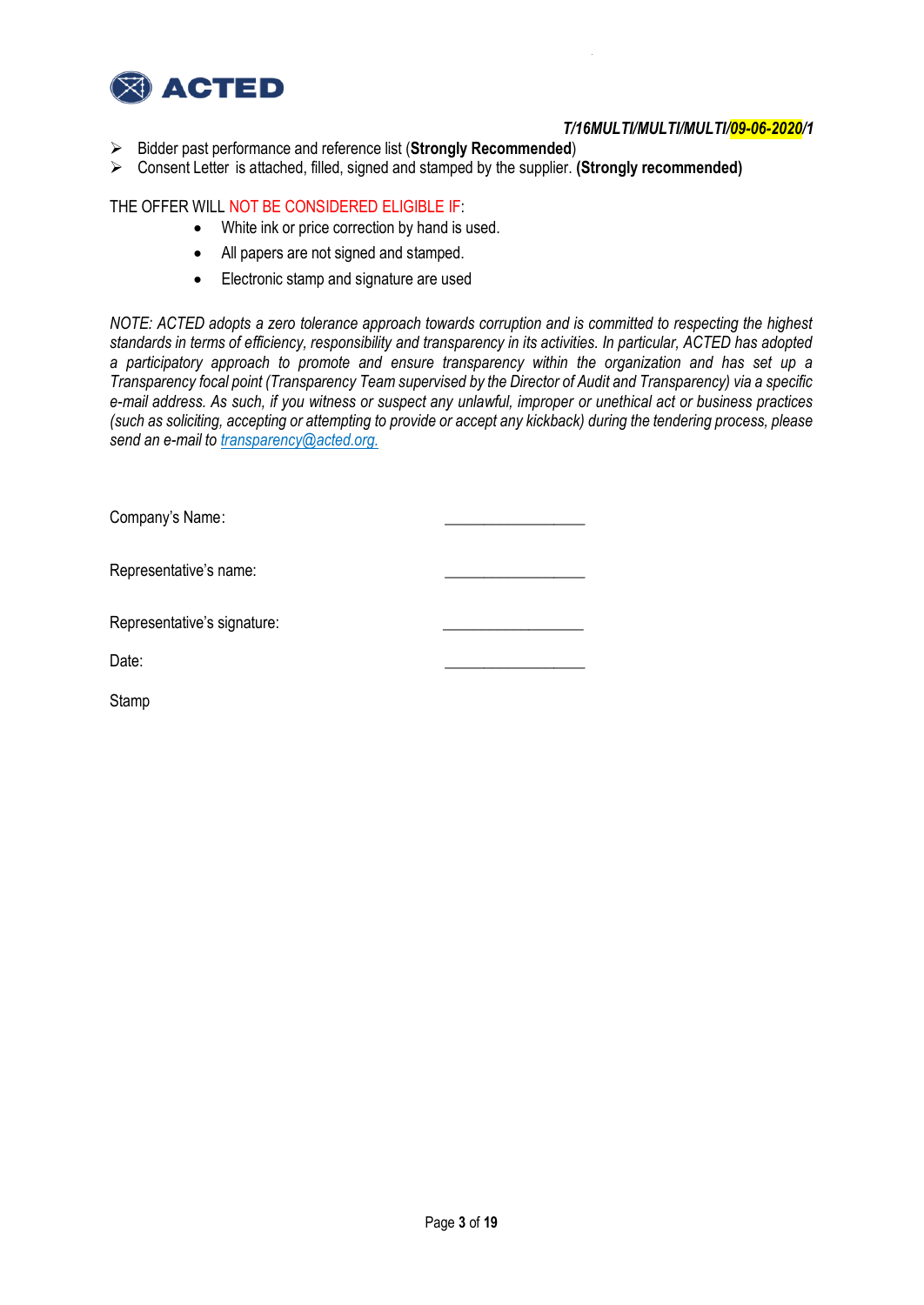

- Bidder past performance and reference list (**Strongly Recommended**)
- Consent Letter is attached, filled, signed and stamped by the supplier. **(Strongly recommended)**

### THE OFFER WILL NOT BE CONSIDERED ELIGIBLE IF:

- White ink or price correction by hand is used.
- All papers are not signed and stamped.
- Electronic stamp and signature are used

*NOTE: ACTED adopts a zero tolerance approach towards corruption and is committed to respecting the highest standards in terms of efficiency, responsibility and transparency in its activities. In particular, ACTED has adopted a participatory approach to promote and ensure transparency within the organization and has set up a Transparency focal point (Transparency Team supervised by the Director of Audit and Transparency) via a specific e-mail address. As such, if you witness or suspect any unlawful, improper or unethical act or business practices (such as soliciting, accepting or attempting to provide or accept any kickback) during the tendering process, please send an e-mail to transparency@acted.org.*

| Company's Name:             |  |
|-----------------------------|--|
| Representative's name:      |  |
| Representative's signature: |  |
| Date:                       |  |
| Stamp                       |  |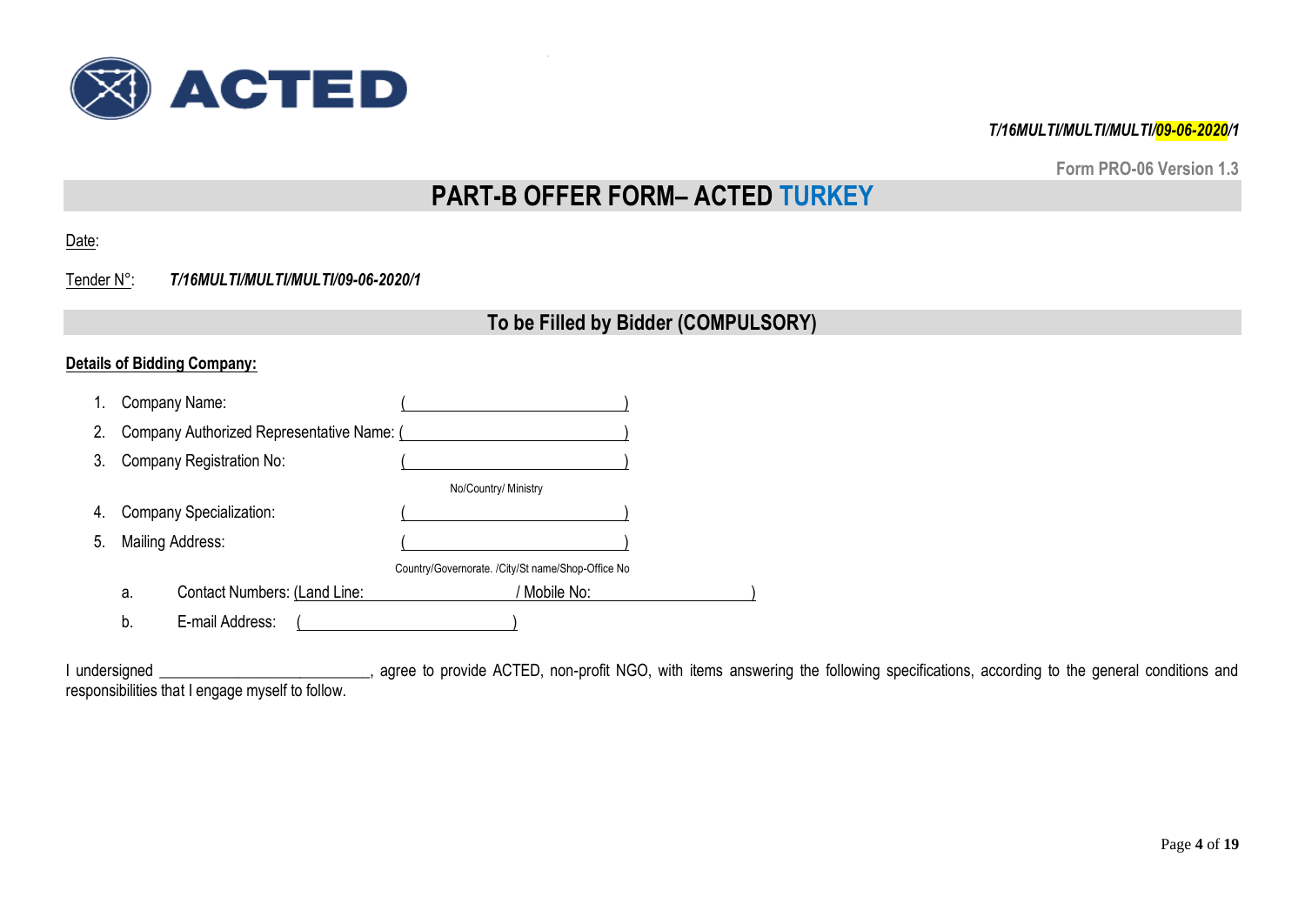

**Form PRO-06 Version 1.3**

# **PART-B OFFER FORM– ACTED TURKEY**

Date:

Tender N°: *T/16MULTI/MULTI/MULTI/09-06-2020/1*

# **To be Filled by Bidder (COMPULSORY)**

# **Details of Bidding Company:**

| 1. |    | Company Name:                             |                                                   |  |
|----|----|-------------------------------------------|---------------------------------------------------|--|
| 2. |    | Company Authorized Representative Name: ( |                                                   |  |
| 3. |    | Company Registration No:                  |                                                   |  |
|    |    |                                           | No/Country/ Ministry                              |  |
| 4. |    | <b>Company Specialization:</b>            |                                                   |  |
| 5. |    | Mailing Address:                          |                                                   |  |
|    |    |                                           | Country/Governorate. /City/St name/Shop-Office No |  |
|    | a. | Contact Numbers: (Land Line:              | Mobile No:                                        |  |
|    | b. | E-mail Address:                           |                                                   |  |

I undersigned \_\_\_\_\_\_\_\_\_\_\_\_\_\_\_\_\_\_\_\_\_\_\_\_, agree to provide ACTED, non-profit NGO, with items answering the following specifications, according to the general conditions and responsibilities that I engage myself to follow.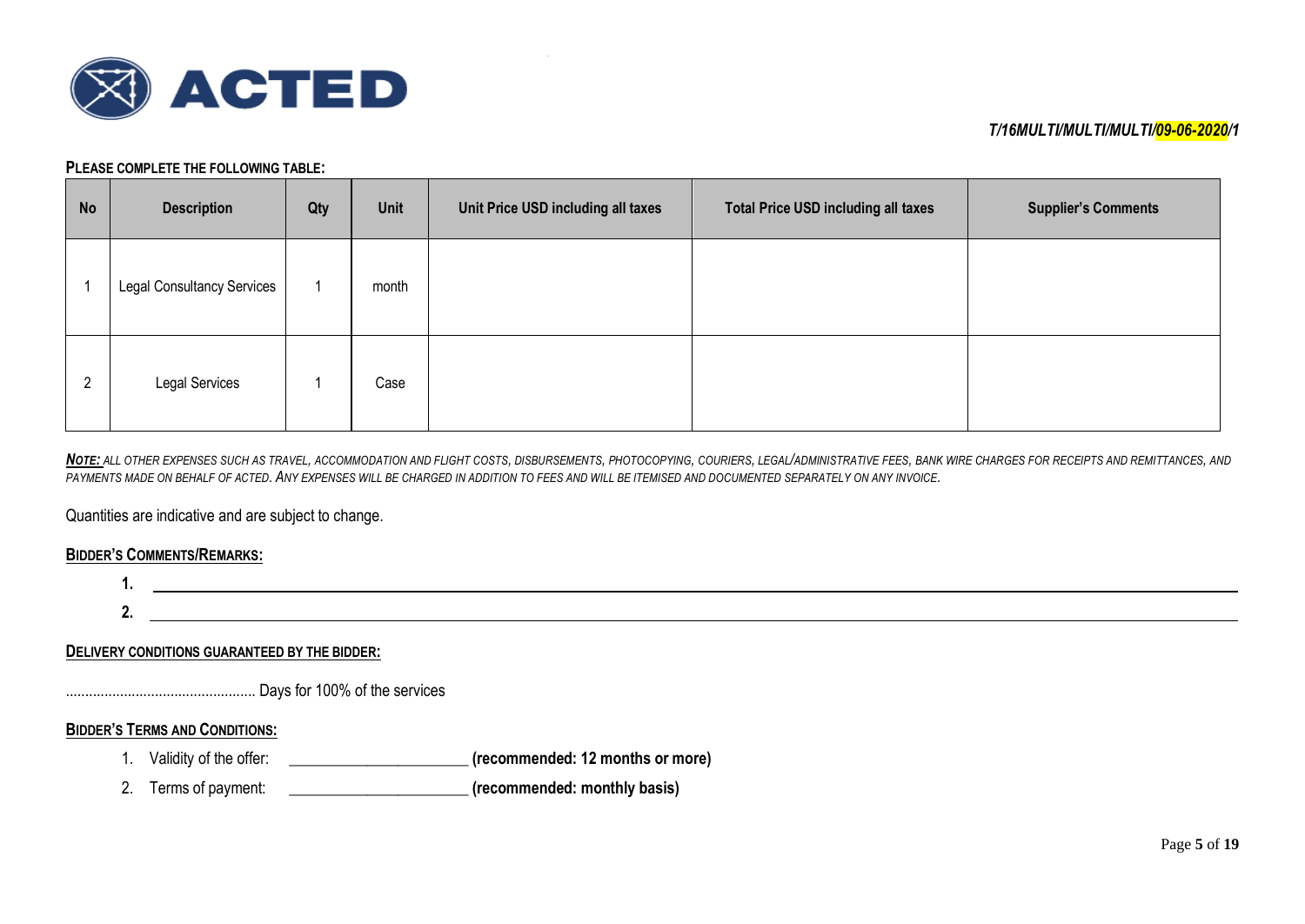

#### **PLEASE COMPLETE THE FOLLOWING TABLE:**

| <b>No</b> | <b>Description</b>                | Qty | Unit  | Unit Price USD including all taxes | <b>Total Price USD including all taxes</b> | <b>Supplier's Comments</b> |
|-----------|-----------------------------------|-----|-------|------------------------------------|--------------------------------------------|----------------------------|
|           | <b>Legal Consultancy Services</b> |     | month |                                    |                                            |                            |
| 2         | Legal Services                    |     | Case  |                                    |                                            |                            |

NOTE: ALL OTHER EXPENSES SUCH AS TRAVEL, ACCOMMODATION AND FLIGHT COSTS, DISBURSEMENTS, PHOTOCOPYING, COURIERS, LEGAL/ADMINISTRATIVE FEES, BANK WIRE CHARGES FOR RECEIPTS AND REMITTANCES, AND *PAYMENTS MADE ON BEHALF OF ACTED. ANY EXPENSES WILL BE CHARGED IN ADDITION TO FEES AND WILL BE ITEMISED AND DOCUMENTED SEPARATELY ON ANY INVOICE.*

Quantities are indicative and are subject to change.

### **BIDDER'S COMMENTS/REMARKS:**

**1. 2.**

### **DELIVERY CONDITIONS GUARANTEED BY THE BIDDER:**

................................................. Days for 100% of the services

### **BIDDER'S TERMS AND CONDITIONS:**

- 1. Validity of the offer: \_\_\_\_\_\_\_\_\_\_\_\_\_\_\_\_\_\_\_\_\_\_\_ **(recommended: 12 months or more)**
- 2. Terms of payment: \_\_\_\_\_\_\_\_\_\_\_\_\_\_\_\_\_\_\_\_\_\_\_ **(recommended: monthly basis)**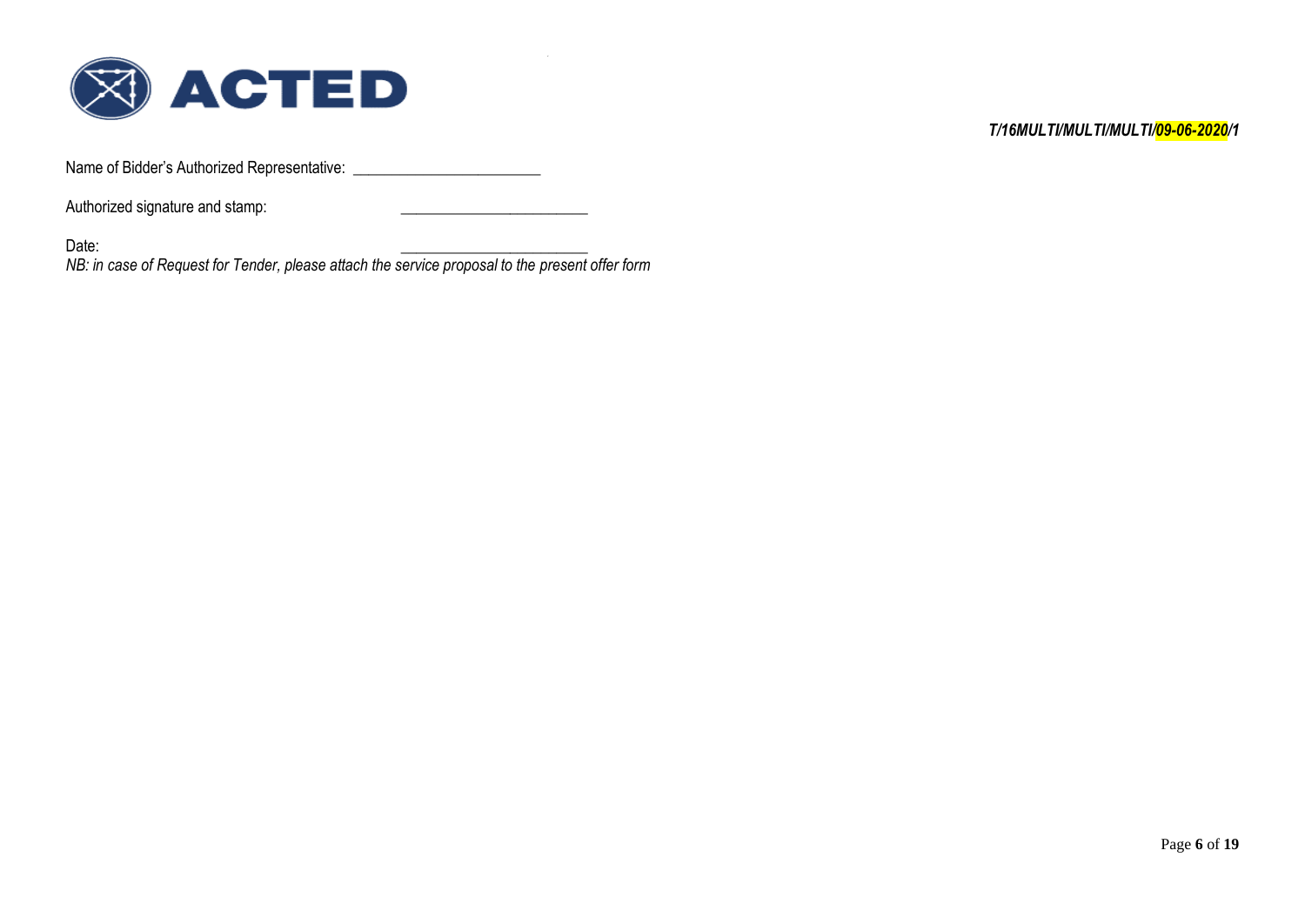

Name of Bidder's Authorized Representative: \_\_\_\_\_\_\_\_\_\_\_\_\_\_\_\_\_\_\_\_\_\_\_\_

Authorized signature and stamp:

Date: \_\_\_\_\_\_\_\_\_\_\_\_\_\_\_\_\_\_\_\_\_\_\_\_

*NB: in case of Request for Tender, please attach the service proposal to the present offer form*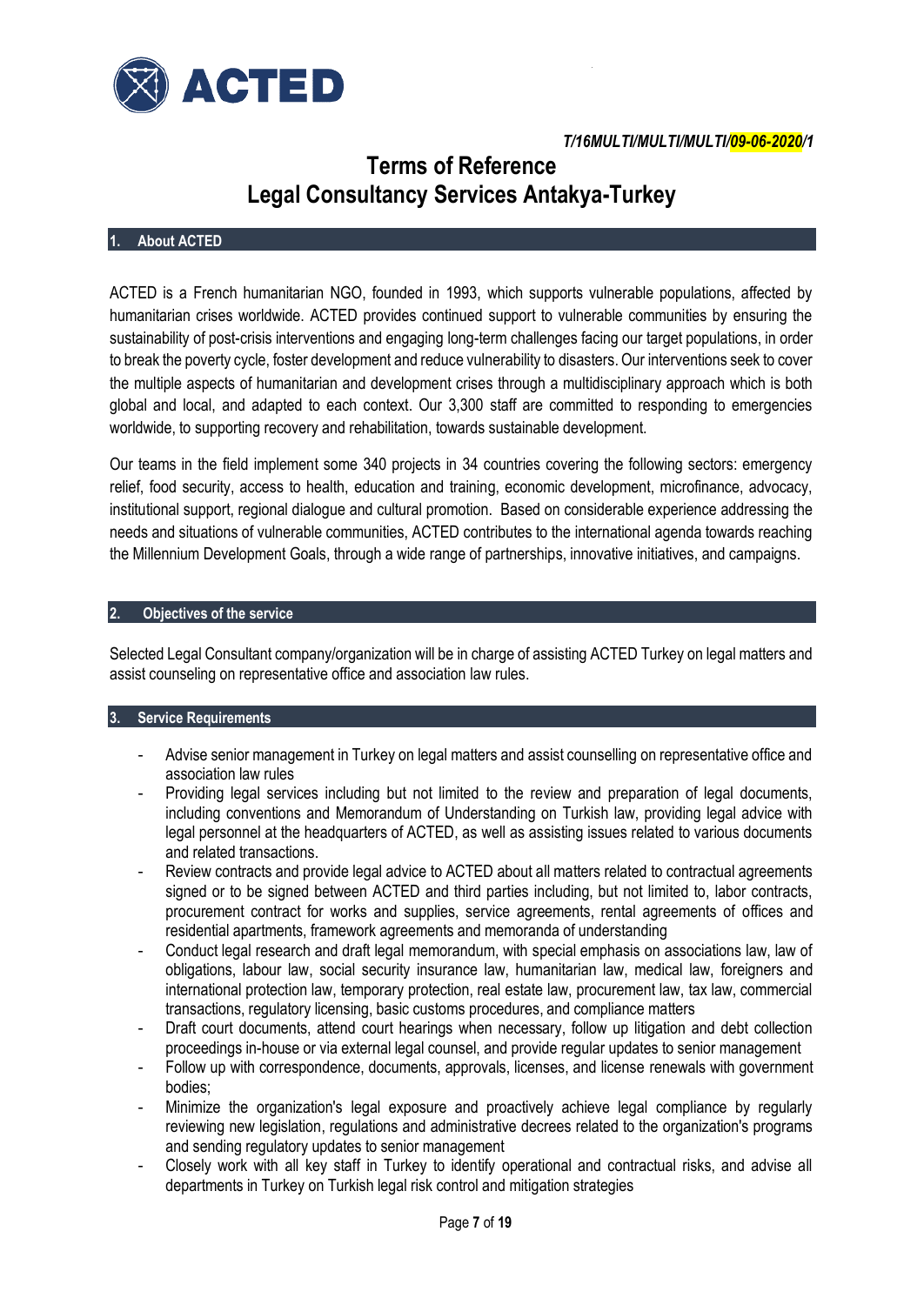

# **Terms of Reference Legal Consultancy Services Antakya-Turkey**

### **1. About ACTED**

ACTED is a French humanitarian NGO, founded in 1993, which supports vulnerable populations, affected by humanitarian crises worldwide. ACTED provides continued support to vulnerable communities by ensuring the sustainability of post-crisis interventions and engaging long-term challenges facing our target populations, in order to break the poverty cycle, foster development and reduce vulnerability to disasters. Our interventions seek to cover the multiple aspects of humanitarian and development crises through a multidisciplinary approach which is both global and local, and adapted to each context. Our 3,300 staff are committed to responding to emergencies worldwide, to supporting recovery and rehabilitation, towards sustainable development.

Our teams in the field implement some 340 projects in 34 countries covering the following sectors: emergency relief, food security, access to health, education and training, economic development, microfinance, advocacy, institutional support, regional dialogue and cultural promotion. Based on considerable experience addressing the needs and situations of vulnerable communities, ACTED contributes to the international agenda towards reaching the Millennium Development Goals, through a wide range of partnerships, innovative initiatives, and campaigns.

### **2. Objectives of the service**

Selected Legal Consultant company/organization will be in charge of assisting ACTED Turkey on legal matters and assist counseling on representative office and association law rules.

### **3. Service Requirements**

- Advise senior management in Turkey on legal matters and assist counselling on representative office and association law rules
- Providing legal services including but not limited to the review and preparation of legal documents, including conventions and Memorandum of Understanding on Turkish law, providing legal advice with legal personnel at the headquarters of ACTED, as well as assisting issues related to various documents and related transactions.
- Review contracts and provide legal advice to ACTED about all matters related to contractual agreements signed or to be signed between ACTED and third parties including, but not limited to, labor contracts, procurement contract for works and supplies, service agreements, rental agreements of offices and residential apartments, framework agreements and memoranda of understanding
- Conduct legal research and draft legal memorandum, with special emphasis on associations law, law of obligations, labour law, social security insurance law, humanitarian law, medical law, foreigners and international protection law, temporary protection, real estate law, procurement law, tax law, commercial transactions, regulatory licensing, basic customs procedures, and compliance matters
- Draft court documents, attend court hearings when necessary, follow up litigation and debt collection proceedings in-house or via external legal counsel, and provide regular updates to senior management
- Follow up with correspondence, documents, approvals, licenses, and license renewals with government bodies;
- Minimize the organization's legal exposure and proactively achieve legal compliance by regularly reviewing new legislation, regulations and administrative decrees related to the organization's programs and sending regulatory updates to senior management
- Closely work with all key staff in Turkey to identify operational and contractual risks, and advise all departments in Turkey on Turkish legal risk control and mitigation strategies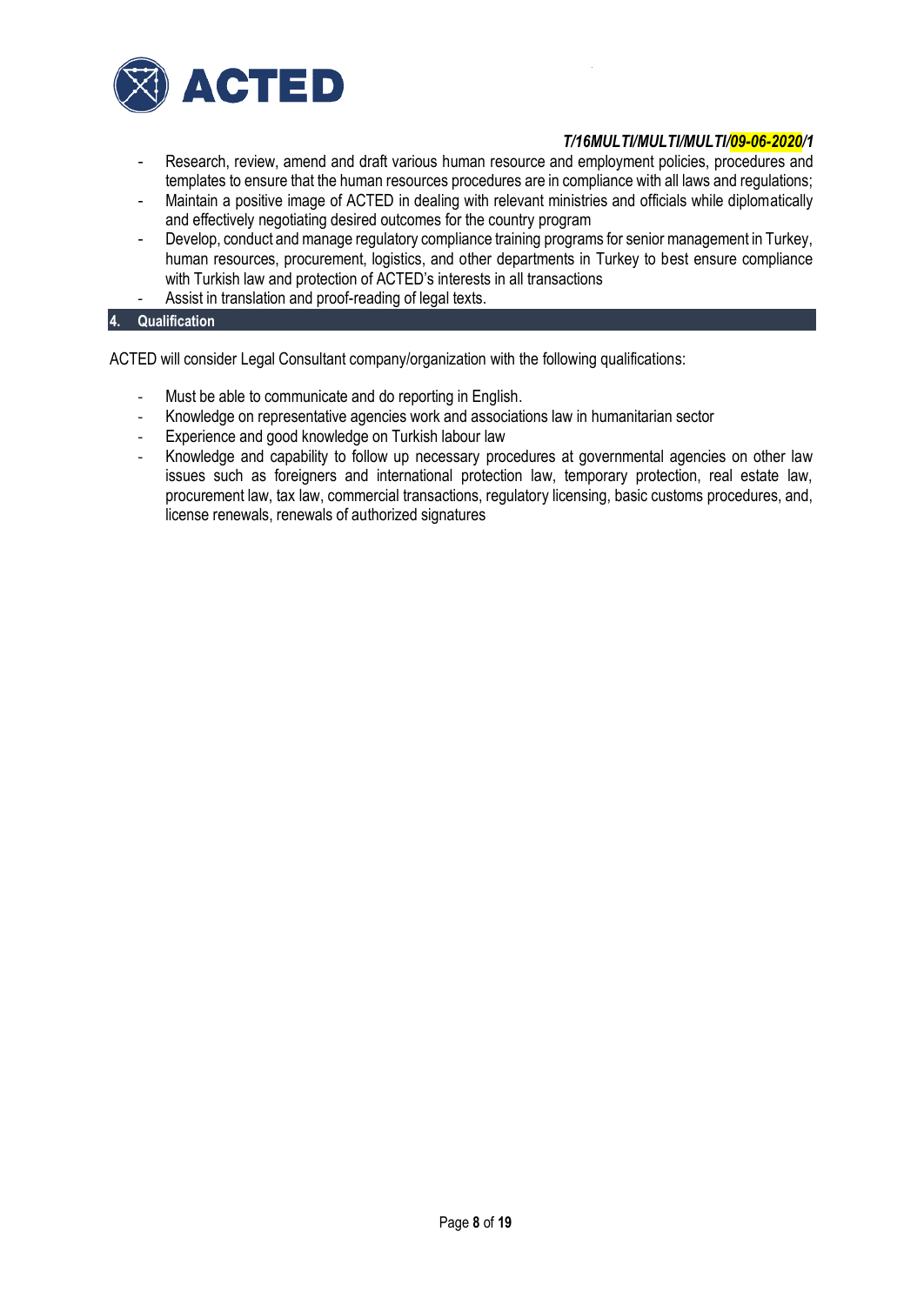

- Research, review, amend and draft various human resource and employment policies, procedures and templates to ensure that the human resources procedures are in compliance with all laws and regulations;
- Maintain a positive image of ACTED in dealing with relevant ministries and officials while diplomatically and effectively negotiating desired outcomes for the country program
- Develop, conduct and manage regulatory compliance training programs for senior management in Turkey, human resources, procurement, logistics, and other departments in Turkey to best ensure compliance with Turkish law and protection of ACTED's interests in all transactions
- Assist in translation and proof-reading of legal texts.

### **4. Qualification**

ACTED will consider Legal Consultant company/organization with the following qualifications:

- Must be able to communicate and do reporting in English.
- Knowledge on representative agencies work and associations law in humanitarian sector
- Experience and good knowledge on Turkish labour law
- Knowledge and capability to follow up necessary procedures at governmental agencies on other law issues such as foreigners and international protection law, temporary protection, real estate law, procurement law, tax law, commercial transactions, regulatory licensing, basic customs procedures, and, license renewals, renewals of authorized signatures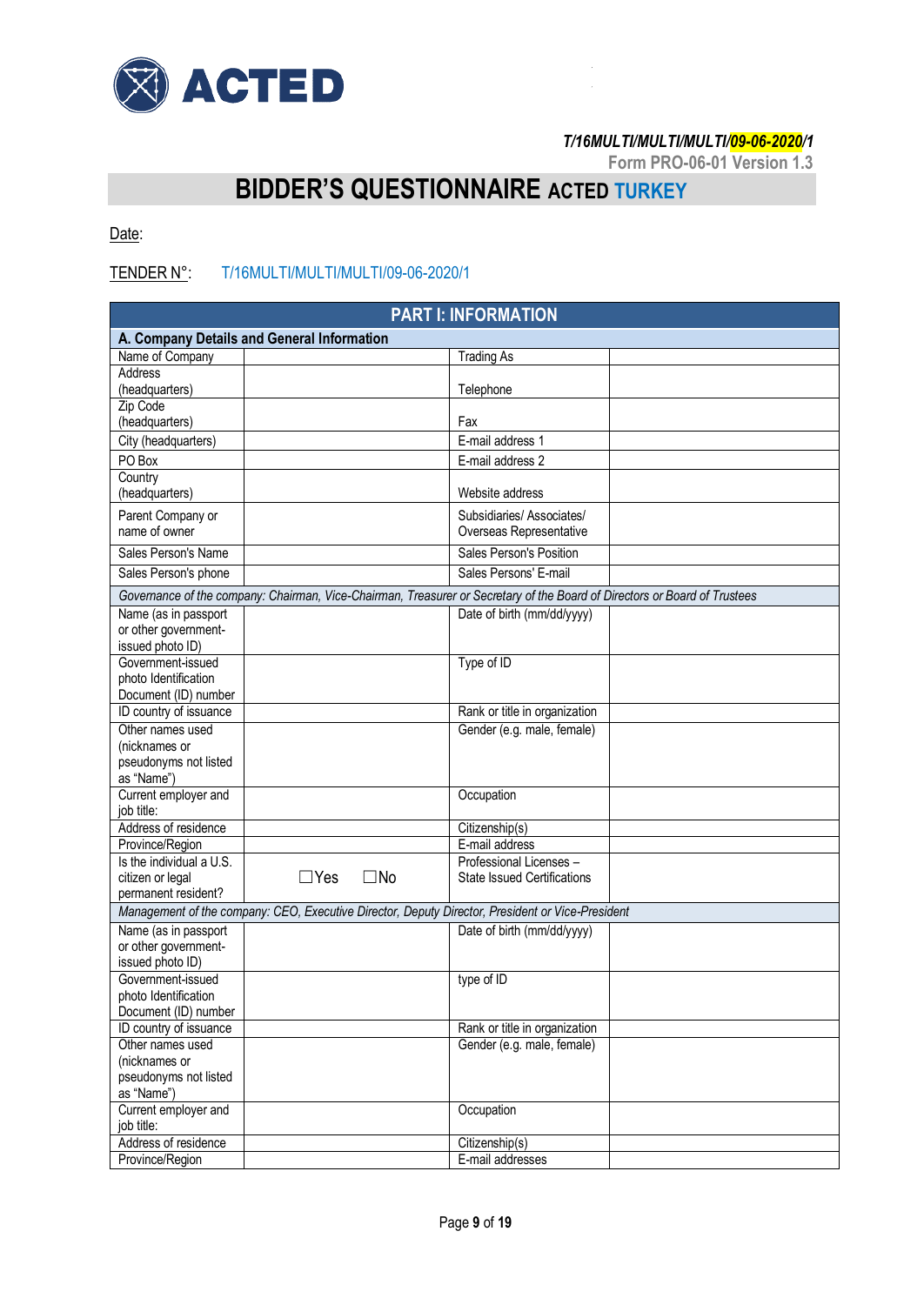

**Form PRO-06-01 Version 1.3**

# **BIDDER'S QUESTIONNAIRE ACTED TURKEY**

Date:

# TENDER N°: T/16MULTI/MULTI/MULTI/09-06-2020/1

| <b>PART I: INFORMATION</b>                                                                                                |                                    |  |  |  |
|---------------------------------------------------------------------------------------------------------------------------|------------------------------------|--|--|--|
| A. Company Details and General Information                                                                                |                                    |  |  |  |
| Name of Company                                                                                                           | <b>Trading As</b>                  |  |  |  |
| <b>Address</b>                                                                                                            |                                    |  |  |  |
| (headquarters)                                                                                                            | Telephone                          |  |  |  |
| Zip Code                                                                                                                  |                                    |  |  |  |
| (headquarters)                                                                                                            | Fax                                |  |  |  |
| City (headquarters)                                                                                                       | E-mail address 1                   |  |  |  |
| PO Box                                                                                                                    | E-mail address 2                   |  |  |  |
| Country                                                                                                                   |                                    |  |  |  |
| (headquarters)                                                                                                            | Website address                    |  |  |  |
| Parent Company or                                                                                                         | Subsidiaries/Associates/           |  |  |  |
| name of owner                                                                                                             | Overseas Representative            |  |  |  |
| Sales Person's Name                                                                                                       | Sales Person's Position            |  |  |  |
| Sales Person's phone                                                                                                      | Sales Persons' E-mail              |  |  |  |
| Governance of the company: Chairman, Vice-Chairman, Treasurer or Secretary of the Board of Directors or Board of Trustees |                                    |  |  |  |
| Name (as in passport                                                                                                      | Date of birth (mm/dd/yyyy)         |  |  |  |
| or other government-                                                                                                      |                                    |  |  |  |
| issued photo ID)                                                                                                          |                                    |  |  |  |
| Government-issued                                                                                                         | Type of ID                         |  |  |  |
| photo Identification                                                                                                      |                                    |  |  |  |
| Document (ID) number                                                                                                      |                                    |  |  |  |
| ID country of issuance                                                                                                    | Rank or title in organization      |  |  |  |
| Other names used                                                                                                          | Gender (e.g. male, female)         |  |  |  |
| (nicknames or                                                                                                             |                                    |  |  |  |
| pseudonyms not listed                                                                                                     |                                    |  |  |  |
| as "Name")                                                                                                                |                                    |  |  |  |
| Current employer and<br>job title:                                                                                        | Occupation                         |  |  |  |
| Address of residence                                                                                                      | Citizenship(s)                     |  |  |  |
| Province/Region                                                                                                           | E-mail address                     |  |  |  |
| Is the individual a U.S.                                                                                                  | Professional Licenses -            |  |  |  |
| $\Box$ Yes<br>$\square$ No<br>citizen or legal                                                                            | <b>State Issued Certifications</b> |  |  |  |
| permanent resident?                                                                                                       |                                    |  |  |  |
| Management of the company: CEO, Executive Director, Deputy Director, President or Vice-President                          |                                    |  |  |  |
| Name (as in passport                                                                                                      | Date of birth (mm/dd/yyyy)         |  |  |  |
| or other government-                                                                                                      |                                    |  |  |  |
| issued photo ID)                                                                                                          |                                    |  |  |  |
| Government-issued                                                                                                         | type of ID                         |  |  |  |
| photo Identification                                                                                                      |                                    |  |  |  |
| Document (ID) number                                                                                                      |                                    |  |  |  |
| ID country of issuance                                                                                                    | Rank or title in organization      |  |  |  |
| Other names used                                                                                                          | Gender (e.g. male, female)         |  |  |  |
| (nicknames or                                                                                                             |                                    |  |  |  |
| pseudonyms not listed                                                                                                     |                                    |  |  |  |
| as "Name")<br>Current employer and                                                                                        | Occupation                         |  |  |  |
| job title:                                                                                                                |                                    |  |  |  |
| Address of residence                                                                                                      | Citizenship(s)                     |  |  |  |
| Province/Region                                                                                                           | E-mail addresses                   |  |  |  |
|                                                                                                                           |                                    |  |  |  |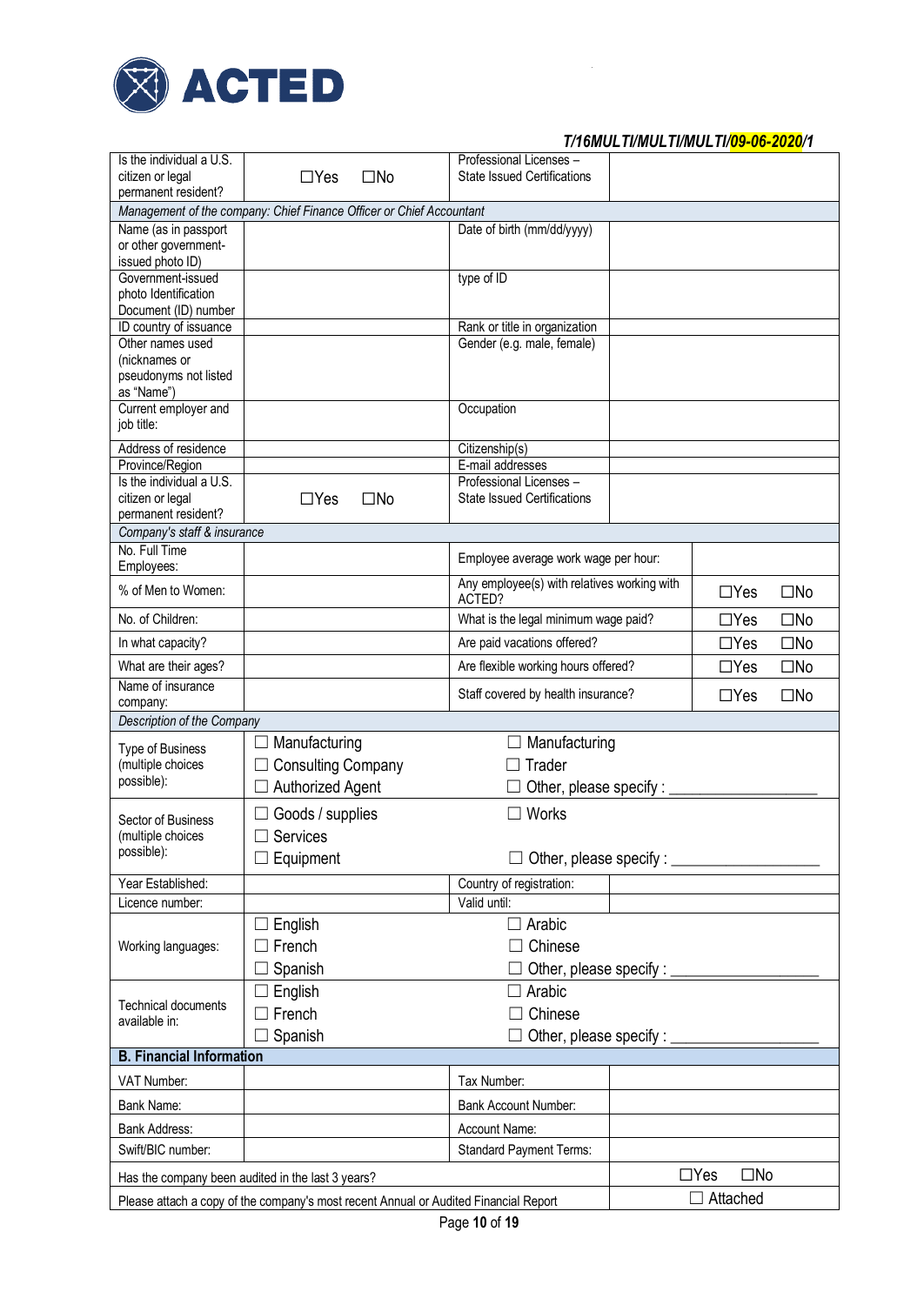

| Is the individual a U.S.                     |                                                                                      | Professional Licenses -                     |                            |              |
|----------------------------------------------|--------------------------------------------------------------------------------------|---------------------------------------------|----------------------------|--------------|
| citizen or legal                             | $\Box$ Yes<br>$\square$ No                                                           | <b>State Issued Certifications</b>          |                            |              |
| permanent resident?                          |                                                                                      |                                             |                            |              |
|                                              | Management of the company: Chief Finance Officer or Chief Accountant                 |                                             |                            |              |
| Name (as in passport                         |                                                                                      | Date of birth (mm/dd/yyyy)                  |                            |              |
| or other government-                         |                                                                                      |                                             |                            |              |
| issued photo ID)<br>Government-issued        |                                                                                      | type of ID                                  |                            |              |
| photo Identification                         |                                                                                      |                                             |                            |              |
| Document (ID) number                         |                                                                                      |                                             |                            |              |
| ID country of issuance                       |                                                                                      | Rank or title in organization               |                            |              |
| Other names used                             |                                                                                      | Gender (e.g. male, female)                  |                            |              |
| (nicknames or                                |                                                                                      |                                             |                            |              |
| pseudonyms not listed                        |                                                                                      |                                             |                            |              |
| as "Name")                                   |                                                                                      |                                             |                            |              |
| Current employer and                         |                                                                                      | Occupation                                  |                            |              |
| job title:                                   |                                                                                      |                                             |                            |              |
| Address of residence                         |                                                                                      | Citizenship(s)                              |                            |              |
| Province/Region                              |                                                                                      | E-mail addresses                            |                            |              |
| Is the individual a U.S.                     |                                                                                      | Professional Licenses -                     |                            |              |
| citizen or legal                             | $\Box$ Yes<br>$\square$ No                                                           | <b>State Issued Certifications</b>          |                            |              |
| permanent resident?                          |                                                                                      |                                             |                            |              |
| Company's staff & insurance<br>No. Full Time |                                                                                      |                                             |                            |              |
| Employees:                                   |                                                                                      | Employee average work wage per hour:        |                            |              |
|                                              |                                                                                      | Any employee(s) with relatives working with |                            |              |
| % of Men to Women:                           |                                                                                      | ACTED?                                      | $\Box$ Yes                 | $\square$ No |
| No. of Children:                             | What is the legal minimum wage paid?                                                 |                                             | $\Box$ Yes                 | $\square$ No |
|                                              |                                                                                      |                                             |                            |              |
| In what capacity?                            |                                                                                      | Are paid vacations offered?                 | $\Box$ Yes                 | $\square$ No |
| What are their ages?                         |                                                                                      | Are flexible working hours offered?         | $\Box$ Yes                 | $\square$ No |
| Name of insurance                            |                                                                                      |                                             |                            |              |
| company:                                     |                                                                                      | Staff covered by health insurance?          | $\Box$ Yes                 | $\square$ No |
| Description of the Company                   |                                                                                      |                                             |                            |              |
| Type of Business                             | Manufacturing                                                                        | Manufacturing                               |                            |              |
| (multiple choices                            | <b>Consulting Company</b>                                                            | Trader                                      |                            |              |
| possible):                                   | <b>Authorized Agent</b>                                                              |                                             |                            |              |
|                                              |                                                                                      | Other, please specify:                      |                            |              |
|                                              |                                                                                      |                                             |                            |              |
|                                              | Goods / supplies                                                                     | Works<br>$\vert \ \ \vert$                  |                            |              |
| Sector of Business                           |                                                                                      |                                             |                            |              |
| (multiple choices<br>possible):              | Services                                                                             |                                             |                            |              |
|                                              | Equipment                                                                            | Other, please specify : _                   |                            |              |
| Year Established:                            |                                                                                      | Country of registration:                    |                            |              |
| Licence number:                              |                                                                                      | Valid until:                                |                            |              |
|                                              |                                                                                      | $\Box$ Arabic                               |                            |              |
|                                              | English                                                                              |                                             |                            |              |
| Working languages:                           | French                                                                               | Chinese                                     |                            |              |
|                                              | Spanish                                                                              | Other, please specify : __                  |                            |              |
|                                              | $\Box$ English                                                                       | Arabic<br>$\Box$                            |                            |              |
| <b>Technical documents</b>                   | $\Box$ French                                                                        | Chinese                                     |                            |              |
| available in:                                |                                                                                      |                                             |                            |              |
|                                              | Spanish                                                                              | Other, please specify : _                   |                            |              |
| <b>B. Financial Information</b>              |                                                                                      |                                             |                            |              |
| VAT Number:                                  |                                                                                      | Tax Number:                                 |                            |              |
| Bank Name:                                   |                                                                                      | <b>Bank Account Number:</b>                 |                            |              |
|                                              |                                                                                      |                                             |                            |              |
| Bank Address:                                |                                                                                      | Account Name:                               |                            |              |
| Swift/BIC number:                            |                                                                                      | <b>Standard Payment Terms:</b>              |                            |              |
|                                              | Has the company been audited in the last 3 years?                                    |                                             | $\Box$ Yes<br>$\square$ No |              |
|                                              | Please attach a copy of the company's most recent Annual or Audited Financial Report |                                             | $\Box$ Attached            |              |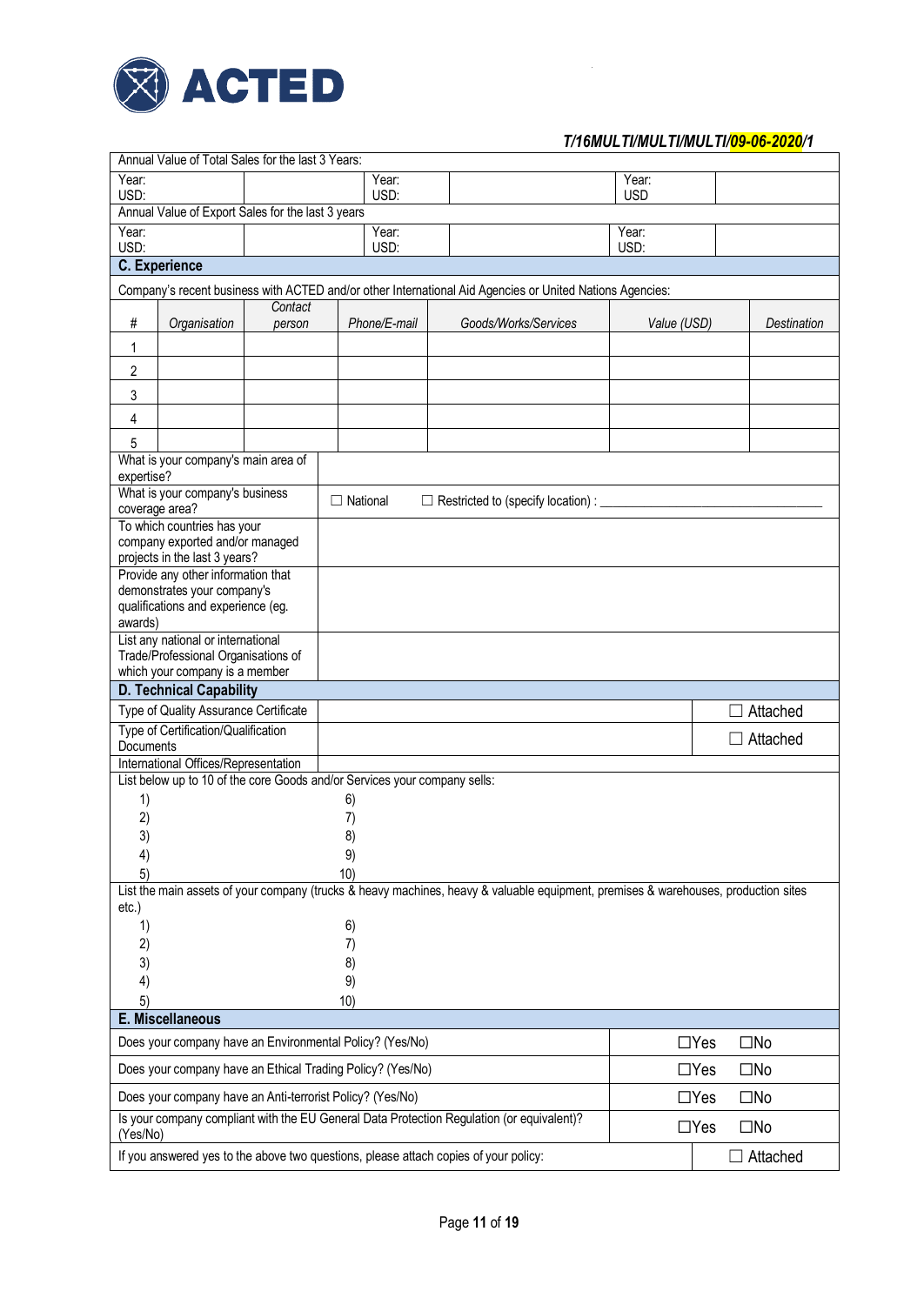

|               |                                                                   | Annual Value of Total Sales for the last 3 Years:         |                                                                           |                                                                                                                                    |                     |                            |
|---------------|-------------------------------------------------------------------|-----------------------------------------------------------|---------------------------------------------------------------------------|------------------------------------------------------------------------------------------------------------------------------------|---------------------|----------------------------|
| Year:<br>USD: |                                                                   |                                                           | Year:<br>USD:                                                             |                                                                                                                                    | Year:<br><b>USD</b> |                            |
|               |                                                                   | Annual Value of Export Sales for the last 3 years         |                                                                           |                                                                                                                                    |                     |                            |
| Year:         |                                                                   |                                                           | Year:                                                                     |                                                                                                                                    | Year:               |                            |
| USD:          |                                                                   |                                                           | USD:                                                                      |                                                                                                                                    | USD:                |                            |
|               | <b>C.</b> Experience                                              |                                                           |                                                                           |                                                                                                                                    |                     |                            |
|               |                                                                   |                                                           |                                                                           | Company's recent business with ACTED and/or other International Aid Agencies or United Nations Agencies:                           |                     |                            |
|               |                                                                   | Contact                                                   |                                                                           |                                                                                                                                    |                     |                            |
| $\#$          | Organisation                                                      | person                                                    | Phone/E-mail                                                              | Goods/Works/Services                                                                                                               | Value (USD)         | <b>Destination</b>         |
| 1             |                                                                   |                                                           |                                                                           |                                                                                                                                    |                     |                            |
| 2             |                                                                   |                                                           |                                                                           |                                                                                                                                    |                     |                            |
| 3             |                                                                   |                                                           |                                                                           |                                                                                                                                    |                     |                            |
| 4             |                                                                   |                                                           |                                                                           |                                                                                                                                    |                     |                            |
| 5             |                                                                   |                                                           |                                                                           |                                                                                                                                    |                     |                            |
|               | What is your company's main area of                               |                                                           |                                                                           |                                                                                                                                    |                     |                            |
| expertise?    |                                                                   |                                                           |                                                                           |                                                                                                                                    |                     |                            |
|               | What is your company's business                                   |                                                           | $\Box$ National                                                           | $\Box$ Restricted to (specify location) : $\Box$                                                                                   |                     |                            |
|               | coverage area?<br>To which countries has your                     |                                                           |                                                                           |                                                                                                                                    |                     |                            |
|               | company exported and/or managed                                   |                                                           |                                                                           |                                                                                                                                    |                     |                            |
|               | projects in the last 3 years?                                     |                                                           |                                                                           |                                                                                                                                    |                     |                            |
|               | Provide any other information that                                |                                                           |                                                                           |                                                                                                                                    |                     |                            |
|               | demonstrates your company's<br>qualifications and experience (eg. |                                                           |                                                                           |                                                                                                                                    |                     |                            |
| awards)       |                                                                   |                                                           |                                                                           |                                                                                                                                    |                     |                            |
|               | List any national or international                                |                                                           |                                                                           |                                                                                                                                    |                     |                            |
|               | Trade/Professional Organisations of                               |                                                           |                                                                           |                                                                                                                                    |                     |                            |
|               | which your company is a member                                    |                                                           |                                                                           |                                                                                                                                    |                     |                            |
|               | <b>D. Technical Capability</b>                                    |                                                           |                                                                           |                                                                                                                                    |                     |                            |
|               | Type of Quality Assurance Certificate                             |                                                           |                                                                           |                                                                                                                                    |                     | Attached                   |
| Documents     | Type of Certification/Qualification                               |                                                           |                                                                           |                                                                                                                                    |                     | $\Box$ Attached            |
|               | International Offices/Representation                              |                                                           |                                                                           |                                                                                                                                    |                     |                            |
|               |                                                                   |                                                           | List below up to 10 of the core Goods and/or Services your company sells: |                                                                                                                                    |                     |                            |
| 1)            |                                                                   |                                                           | 6)                                                                        |                                                                                                                                    |                     |                            |
| 2)            |                                                                   |                                                           | 7)                                                                        |                                                                                                                                    |                     |                            |
| 3)            |                                                                   |                                                           | 8)                                                                        |                                                                                                                                    |                     |                            |
| 4)            |                                                                   |                                                           | 9)                                                                        |                                                                                                                                    |                     |                            |
| 5)            |                                                                   |                                                           | 10)                                                                       |                                                                                                                                    |                     |                            |
|               |                                                                   |                                                           |                                                                           | List the main assets of your company (trucks & heavy machines, heavy & valuable equipment, premises & warehouses, production sites |                     |                            |
| etc.)<br>1)   |                                                                   |                                                           | 6)                                                                        |                                                                                                                                    |                     |                            |
| 2)            |                                                                   |                                                           | 7)                                                                        |                                                                                                                                    |                     |                            |
| 3)            |                                                                   |                                                           | 8)                                                                        |                                                                                                                                    |                     |                            |
| 4)            |                                                                   |                                                           | 9)                                                                        |                                                                                                                                    |                     |                            |
| 5)            |                                                                   |                                                           | 10)                                                                       |                                                                                                                                    |                     |                            |
|               | E. Miscellaneous                                                  |                                                           |                                                                           |                                                                                                                                    |                     |                            |
|               |                                                                   |                                                           | Does your company have an Environmental Policy? (Yes/No)                  |                                                                                                                                    |                     | $\square$ No<br>$\Box$ Yes |
|               |                                                                   |                                                           | Does your company have an Ethical Trading Policy? (Yes/No)                |                                                                                                                                    |                     | $\Box$ Yes<br>$\square$ No |
|               |                                                                   | Does your company have an Anti-terrorist Policy? (Yes/No) |                                                                           |                                                                                                                                    |                     | $\Box$ Yes<br>$\square$ No |
| (Yes/No)      |                                                                   |                                                           |                                                                           | Is your company compliant with the EU General Data Protection Regulation (or equivalent)?                                          |                     | $\square$ No<br>$\Box$ Yes |
|               |                                                                   |                                                           |                                                                           | If you answered yes to the above two questions, please attach copies of your policy:                                               |                     | Attached                   |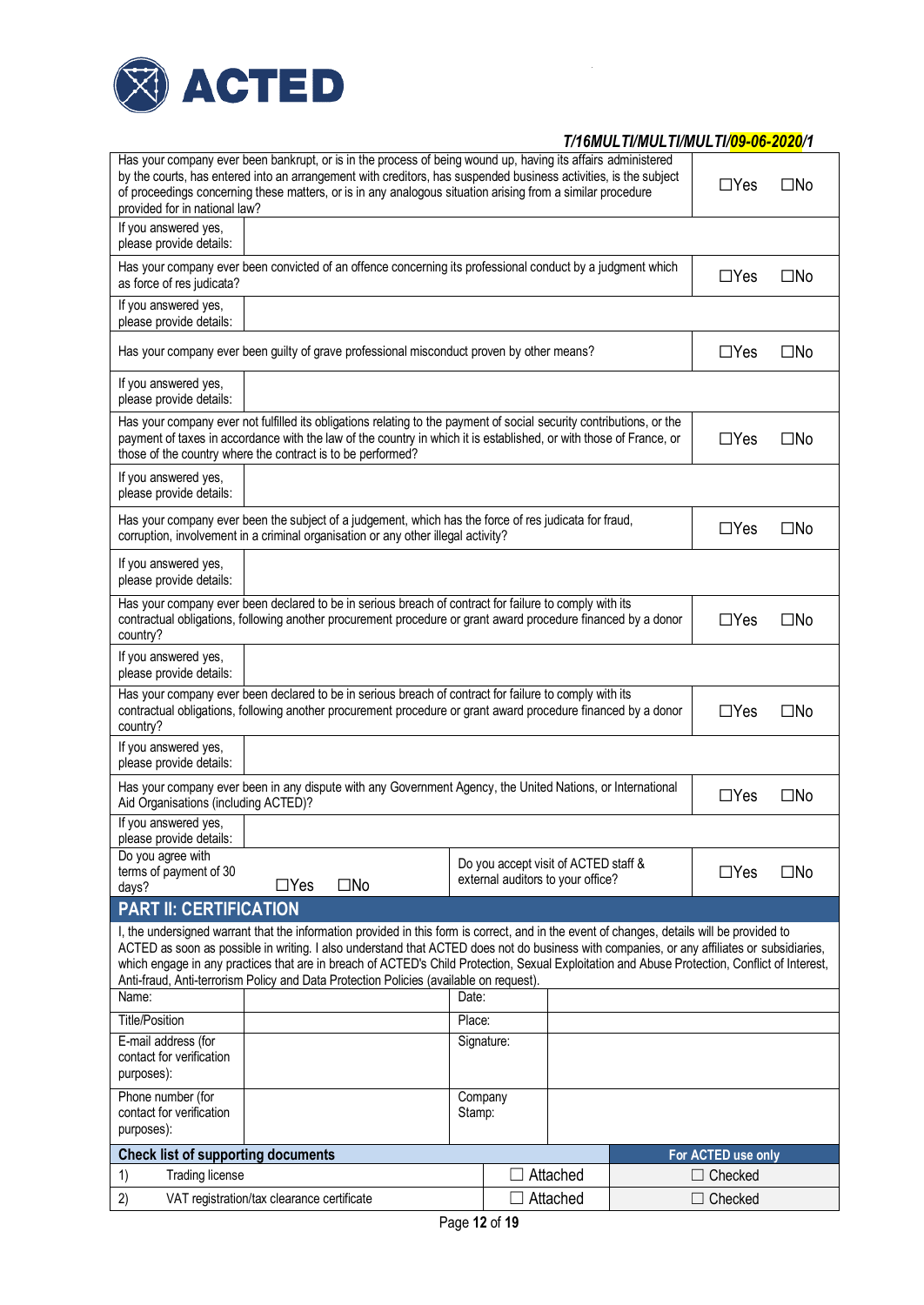

| Has your company ever been bankrupt, or is in the process of being wound up, having its affairs administered<br>by the courts, has entered into an arrangement with creditors, has suspended business activities, is the subject<br>of proceedings concerning these matters, or is in any analogous situation arising from a similar procedure<br>provided for in national law?                                                                                                                                                     |                                            |              |            | $\Box$ Yes                                                                | $\square$ No |  |                    |              |
|-------------------------------------------------------------------------------------------------------------------------------------------------------------------------------------------------------------------------------------------------------------------------------------------------------------------------------------------------------------------------------------------------------------------------------------------------------------------------------------------------------------------------------------|--------------------------------------------|--------------|------------|---------------------------------------------------------------------------|--------------|--|--------------------|--------------|
| If you answered yes,<br>please provide details:                                                                                                                                                                                                                                                                                                                                                                                                                                                                                     |                                            |              |            |                                                                           |              |  |                    |              |
| Has your company ever been convicted of an offence concerning its professional conduct by a judgment which<br>as force of res judicata?                                                                                                                                                                                                                                                                                                                                                                                             |                                            |              |            |                                                                           |              |  | $\Box$ Yes         | $\square$ No |
| If you answered yes,<br>please provide details:                                                                                                                                                                                                                                                                                                                                                                                                                                                                                     |                                            |              |            |                                                                           |              |  |                    |              |
| Has your company ever been guilty of grave professional misconduct proven by other means?                                                                                                                                                                                                                                                                                                                                                                                                                                           |                                            |              |            | $\Box$ Yes                                                                | $\square$ No |  |                    |              |
| If you answered yes,<br>please provide details:                                                                                                                                                                                                                                                                                                                                                                                                                                                                                     |                                            |              |            |                                                                           |              |  |                    |              |
| Has your company ever not fulfilled its obligations relating to the payment of social security contributions, or the<br>payment of taxes in accordance with the law of the country in which it is established, or with those of France, or<br>those of the country where the contract is to be performed?                                                                                                                                                                                                                           |                                            |              |            |                                                                           |              |  | $\Box$ Yes         | $\square$ No |
| If you answered yes,<br>please provide details:                                                                                                                                                                                                                                                                                                                                                                                                                                                                                     |                                            |              |            |                                                                           |              |  |                    |              |
| Has your company ever been the subject of a judgement, which has the force of res judicata for fraud,<br>corruption, involvement in a criminal organisation or any other illegal activity?                                                                                                                                                                                                                                                                                                                                          |                                            |              | $\Box$ Yes | $\square$ No                                                              |              |  |                    |              |
| If you answered yes,<br>please provide details:                                                                                                                                                                                                                                                                                                                                                                                                                                                                                     |                                            |              |            |                                                                           |              |  |                    |              |
| Has your company ever been declared to be in serious breach of contract for failure to comply with its<br>contractual obligations, following another procurement procedure or grant award procedure financed by a donor<br>country?                                                                                                                                                                                                                                                                                                 |                                            |              |            | $\Box$ Yes                                                                | $\square$ No |  |                    |              |
| If you answered yes,<br>please provide details:                                                                                                                                                                                                                                                                                                                                                                                                                                                                                     |                                            |              |            |                                                                           |              |  |                    |              |
| Has your company ever been declared to be in serious breach of contract for failure to comply with its<br>contractual obligations, following another procurement procedure or grant award procedure financed by a donor<br>country?                                                                                                                                                                                                                                                                                                 |                                            |              |            | $\Box$ Yes                                                                | $\square$ No |  |                    |              |
| If you answered yes,<br>please provide details:                                                                                                                                                                                                                                                                                                                                                                                                                                                                                     |                                            |              |            |                                                                           |              |  |                    |              |
| Has your company ever been in any dispute with any Government Agency, the United Nations, or International<br>Aid Organisations (including ACTED)?                                                                                                                                                                                                                                                                                                                                                                                  |                                            |              |            |                                                                           |              |  | $\Box$ Yes         | $\square$ No |
| If you answered yes,<br>please provide details:                                                                                                                                                                                                                                                                                                                                                                                                                                                                                     |                                            |              |            |                                                                           |              |  |                    |              |
| Do you agree with<br>terms of payment of 30<br>days?                                                                                                                                                                                                                                                                                                                                                                                                                                                                                | $\Box$ Yes                                 | $\square$ No |            | Do you accept visit of ACTED staff &<br>external auditors to your office? |              |  | $\Box$ Yes         | $\square$ No |
| <b>PART II: CERTIFICATION</b>                                                                                                                                                                                                                                                                                                                                                                                                                                                                                                       |                                            |              |            |                                                                           |              |  |                    |              |
| I, the undersigned warrant that the information provided in this form is correct, and in the event of changes, details will be provided to<br>ACTED as soon as possible in writing. I also understand that ACTED does not do business with companies, or any affiliates or subsidiaries,<br>which engage in any practices that are in breach of ACTED's Child Protection, Sexual Exploitation and Abuse Protection, Conflict of Interest,<br>Anti-fraud, Anti-terrorism Policy and Data Protection Policies (available on request). |                                            |              |            |                                                                           |              |  |                    |              |
| Name:                                                                                                                                                                                                                                                                                                                                                                                                                                                                                                                               |                                            |              | Date:      |                                                                           |              |  |                    |              |
| <b>Title/Position</b>                                                                                                                                                                                                                                                                                                                                                                                                                                                                                                               |                                            |              | Place:     |                                                                           |              |  |                    |              |
| E-mail address (for<br>contact for verification<br>purposes):                                                                                                                                                                                                                                                                                                                                                                                                                                                                       |                                            |              |            | Signature:                                                                |              |  |                    |              |
| Phone number (for<br>contact for verification<br>purposes):                                                                                                                                                                                                                                                                                                                                                                                                                                                                         |                                            |              | Stamp:     | Company                                                                   |              |  |                    |              |
| <b>Check list of supporting documents</b>                                                                                                                                                                                                                                                                                                                                                                                                                                                                                           |                                            |              |            |                                                                           |              |  | For ACTED use only |              |
| 1)<br><b>Trading license</b>                                                                                                                                                                                                                                                                                                                                                                                                                                                                                                        |                                            |              |            |                                                                           | Attached     |  | $\Box$ Checked     |              |
| 2)                                                                                                                                                                                                                                                                                                                                                                                                                                                                                                                                  | VAT registration/tax clearance certificate |              |            |                                                                           | Attached     |  | $\Box$ Checked     |              |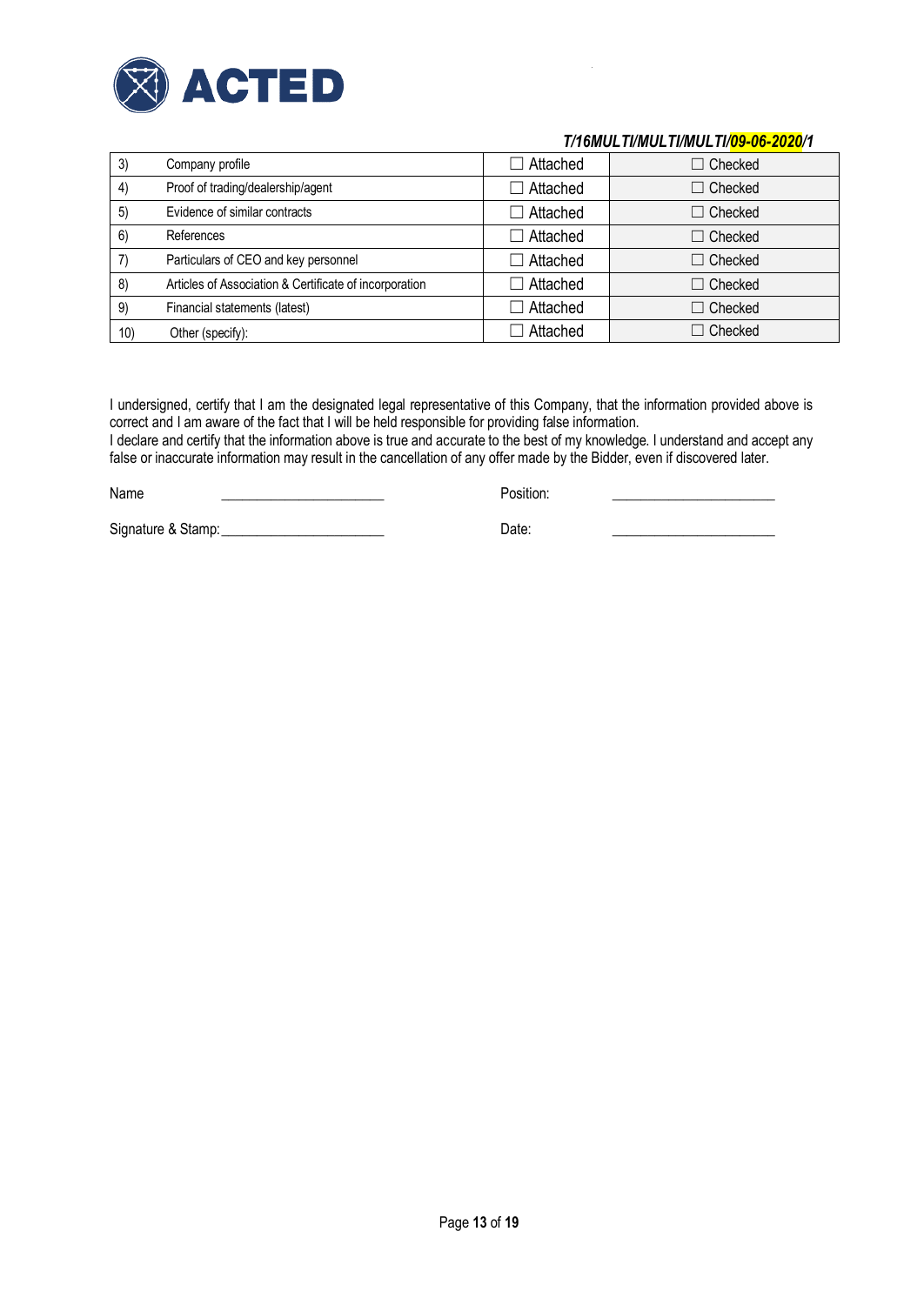

| 3)  | Company profile                                        | $\Box$ Attached | $\Box$ Checked |
|-----|--------------------------------------------------------|-----------------|----------------|
| 4)  | Proof of trading/dealership/agent                      | Attached        | $\Box$ Checked |
| 5)  | Evidence of similar contracts                          | $\Box$ Attached | $\Box$ Checked |
| 6)  | References                                             | $\Box$ Attached | $\Box$ Checked |
|     | Particulars of CEO and key personnel                   | $\Box$ Attached | $\Box$ Checked |
| 8)  | Articles of Association & Certificate of incorporation | Attached        | $\Box$ Checked |
| 9)  | Financial statements (latest)                          | $\Box$ Attached | $\Box$ Checked |
| 10) | Other (specify):                                       | Attached        | $\Box$ Checked |

I undersigned, certify that I am the designated legal representative of this Company, that the information provided above is correct and I am aware of the fact that I will be held responsible for providing false information.

I declare and certify that the information above is true and accurate to the best of my knowledge. I understand and accept any false or inaccurate information may result in the cancellation of any offer made by the Bidder, even if discovered later.

| Name | Position.<br>. |  |
|------|----------------|--|
|      |                |  |

Signature & Stamp:\_\_\_\_\_\_\_\_\_\_\_\_\_\_\_\_\_\_\_\_\_\_\_ Date: \_\_\_\_\_\_\_\_\_\_\_\_\_\_\_\_\_\_\_\_\_\_\_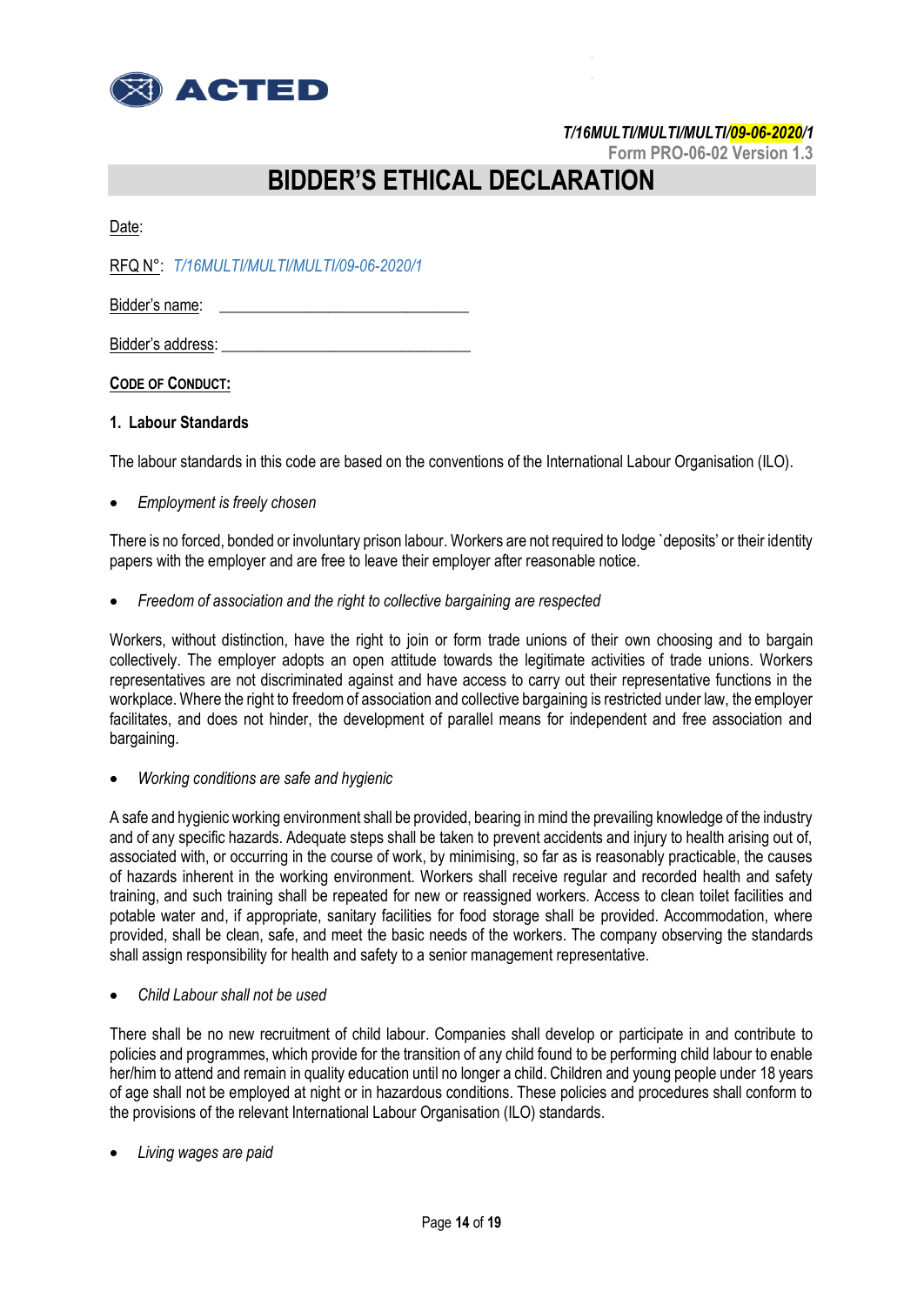

**Form PRO-06-02 Version 1.3**

# **BIDDER'S ETHICAL DECLARATION**

Date:

RFQ N°: *T/16MULTI/MULTI/MULTI/09-06-2020/1*

Bidder's name:

Bidder's address:

**CODE OF CONDUCT:**

### **1. Labour Standards**

The labour standards in this code are based on the conventions of the International Labour Organisation (ILO).

*Employment is freely chosen*

There is no forced, bonded or involuntary prison labour. Workers are not required to lodge `deposits' or their identity papers with the employer and are free to leave their employer after reasonable notice.

*Freedom of association and the right to collective bargaining are respected*

Workers, without distinction, have the right to join or form trade unions of their own choosing and to bargain collectively. The employer adopts an open attitude towards the legitimate activities of trade unions. Workers representatives are not discriminated against and have access to carry out their representative functions in the workplace. Where the right to freedom of association and collective bargaining is restricted under law, the employer facilitates, and does not hinder, the development of parallel means for independent and free association and bargaining.

*Working conditions are safe and hygienic*

A safe and hygienic working environment shall be provided, bearing in mind the prevailing knowledge of the industry and of any specific hazards. Adequate steps shall be taken to prevent accidents and injury to health arising out of, associated with, or occurring in the course of work, by minimising, so far as is reasonably practicable, the causes of hazards inherent in the working environment. Workers shall receive regular and recorded health and safety training, and such training shall be repeated for new or reassigned workers. Access to clean toilet facilities and potable water and, if appropriate, sanitary facilities for food storage shall be provided. Accommodation, where provided, shall be clean, safe, and meet the basic needs of the workers. The company observing the standards shall assign responsibility for health and safety to a senior management representative.

*Child Labour shall not be used*

There shall be no new recruitment of child labour. Companies shall develop or participate in and contribute to policies and programmes, which provide for the transition of any child found to be performing child labour to enable her/him to attend and remain in quality education until no longer a child. Children and young people under 18 years of age shall not be employed at night or in hazardous conditions. These policies and procedures shall conform to the provisions of the relevant International Labour Organisation (ILO) standards.

*Living wages are paid*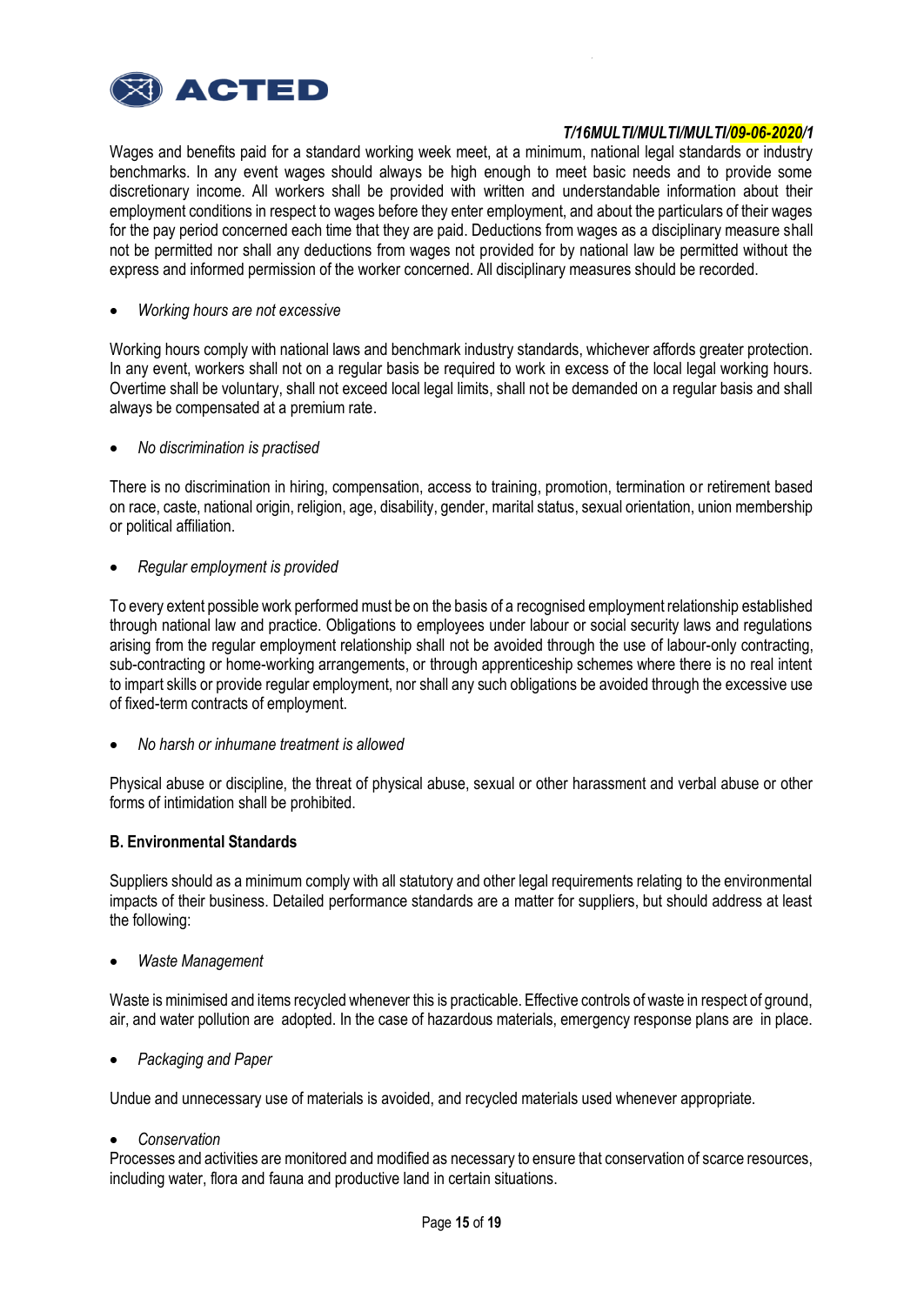

Wages and benefits paid for a standard working week meet, at a minimum, national legal standards or industry benchmarks. In any event wages should always be high enough to meet basic needs and to provide some discretionary income. All workers shall be provided with written and understandable information about their employment conditions in respect to wages before they enter employment, and about the particulars of their wages for the pay period concerned each time that they are paid. Deductions from wages as a disciplinary measure shall not be permitted nor shall any deductions from wages not provided for by national law be permitted without the express and informed permission of the worker concerned. All disciplinary measures should be recorded.

*Working hours are not excessive*

Working hours comply with national laws and benchmark industry standards, whichever affords greater protection. In any event, workers shall not on a regular basis be required to work in excess of the local legal working hours. Overtime shall be voluntary, shall not exceed local legal limits, shall not be demanded on a regular basis and shall always be compensated at a premium rate.

*No discrimination is practised*

There is no discrimination in hiring, compensation, access to training, promotion, termination or retirement based on race, caste, national origin, religion, age, disability, gender, marital status, sexual orientation, union membership or political affiliation.

*Regular employment is provided*

To every extent possible work performed must be on the basis of a recognised employment relationship established through national law and practice. Obligations to employees under labour or social security laws and regulations arising from the regular employment relationship shall not be avoided through the use of labour-only contracting, sub-contracting or home-working arrangements, or through apprenticeship schemes where there is no real intent to impart skills or provide regular employment, nor shall any such obligations be avoided through the excessive use of fixed-term contracts of employment.

*No harsh or inhumane treatment is allowed*

Physical abuse or discipline, the threat of physical abuse, sexual or other harassment and verbal abuse or other forms of intimidation shall be prohibited.

### **B. Environmental Standards**

Suppliers should as a minimum comply with all statutory and other legal requirements relating to the environmental impacts of their business. Detailed performance standards are a matter for suppliers, but should address at least the following:

*Waste Management*

Waste is minimised and items recycled whenever this is practicable. Effective controls of waste in respect of ground, air, and water pollution are adopted. In the case of hazardous materials, emergency response plans are in place.

*Packaging and Paper*

Undue and unnecessary use of materials is avoided, and recycled materials used whenever appropriate.

*Conservation*

Processes and activities are monitored and modified as necessary to ensure that conservation of scarce resources, including water, flora and fauna and productive land in certain situations.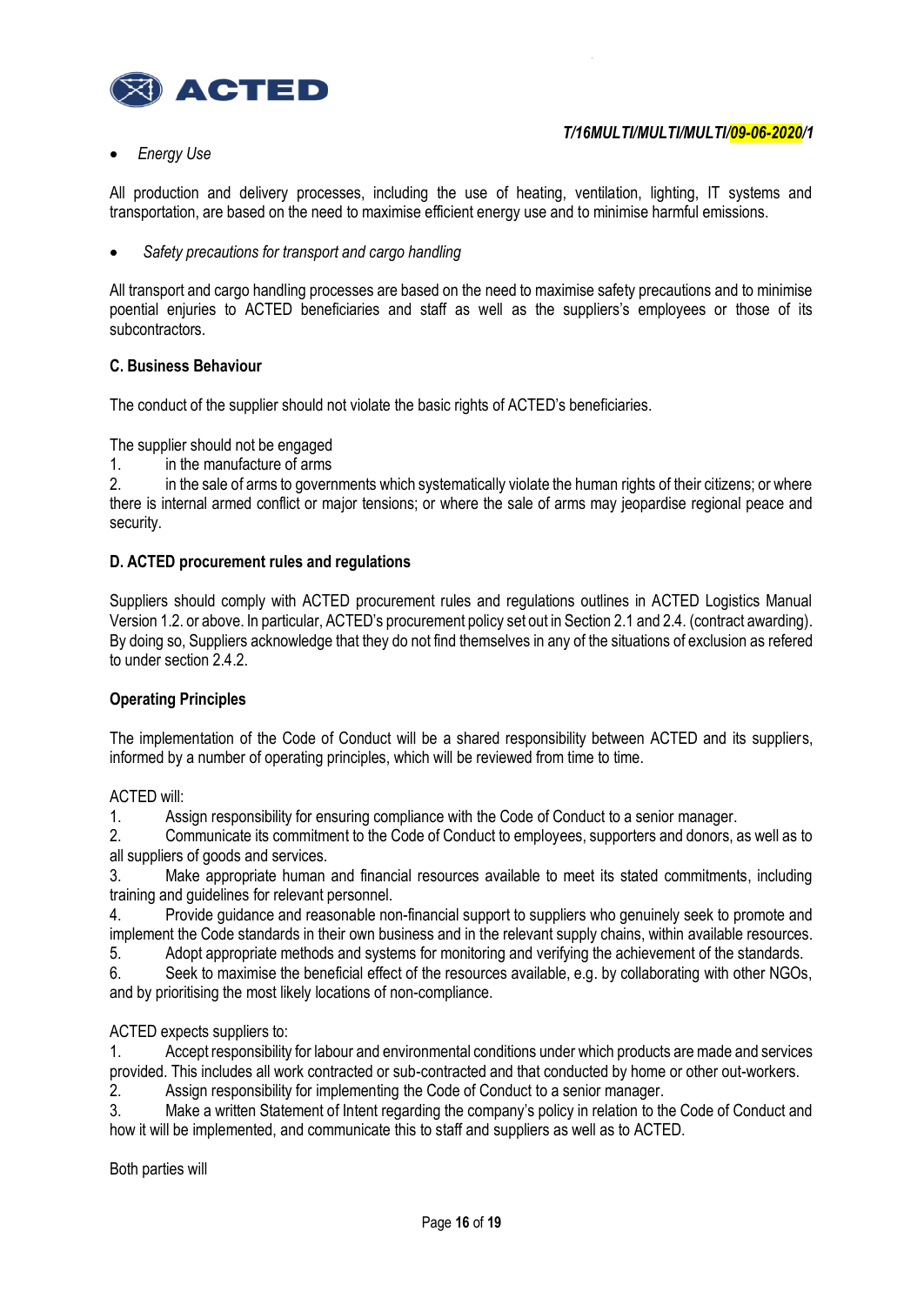

*Energy Use* 

All production and delivery processes, including the use of heating, ventilation, lighting, IT systems and transportation, are based on the need to maximise efficient energy use and to minimise harmful emissions.

*Safety precautions for transport and cargo handling*

All transport and cargo handling processes are based on the need to maximise safety precautions and to minimise poential enjuries to ACTED beneficiaries and staff as well as the suppliers's employees or those of its subcontractors.

### **C. Business Behaviour**

The conduct of the supplier should not violate the basic rights of ACTED's beneficiaries.

The supplier should not be engaged

1. in the manufacture of arms

2. in the sale of arms to governments which systematically violate the human rights of their citizens; or where there is internal armed conflict or major tensions; or where the sale of arms may jeopardise regional peace and security.

### **D. ACTED procurement rules and regulations**

Suppliers should comply with ACTED procurement rules and regulations outlines in ACTED Logistics Manual Version 1.2. or above. In particular, ACTED's procurement policy set out in Section 2.1 and 2.4. (contract awarding). By doing so, Suppliers acknowledge that they do not find themselves in any of the situations of exclusion as refered to under section 2.4.2.

### **Operating Principles**

The implementation of the Code of Conduct will be a shared responsibility between ACTED and its suppliers, informed by a number of operating principles, which will be reviewed from time to time.

### ACTED will:

1. Assign responsibility for ensuring compliance with the Code of Conduct to a senior manager.

2. Communicate its commitment to the Code of Conduct to employees, supporters and donors, as well as to all suppliers of goods and services.

3. Make appropriate human and financial resources available to meet its stated commitments, including training and guidelines for relevant personnel.

4. Provide guidance and reasonable non-financial support to suppliers who genuinely seek to promote and implement the Code standards in their own business and in the relevant supply chains, within available resources.

5. Adopt appropriate methods and systems for monitoring and verifying the achievement of the standards.

6. Seek to maximise the beneficial effect of the resources available, e.g. by collaborating with other NGOs, and by prioritising the most likely locations of non-compliance.

### ACTED expects suppliers to:

1. Accept responsibility for labour and environmental conditions under which products are made and services provided. This includes all work contracted or sub-contracted and that conducted by home or other out-workers.

2. Assign responsibility for implementing the Code of Conduct to a senior manager.

3. Make a written Statement of Intent regarding the company's policy in relation to the Code of Conduct and how it will be implemented, and communicate this to staff and suppliers as well as to ACTED.

Both parties will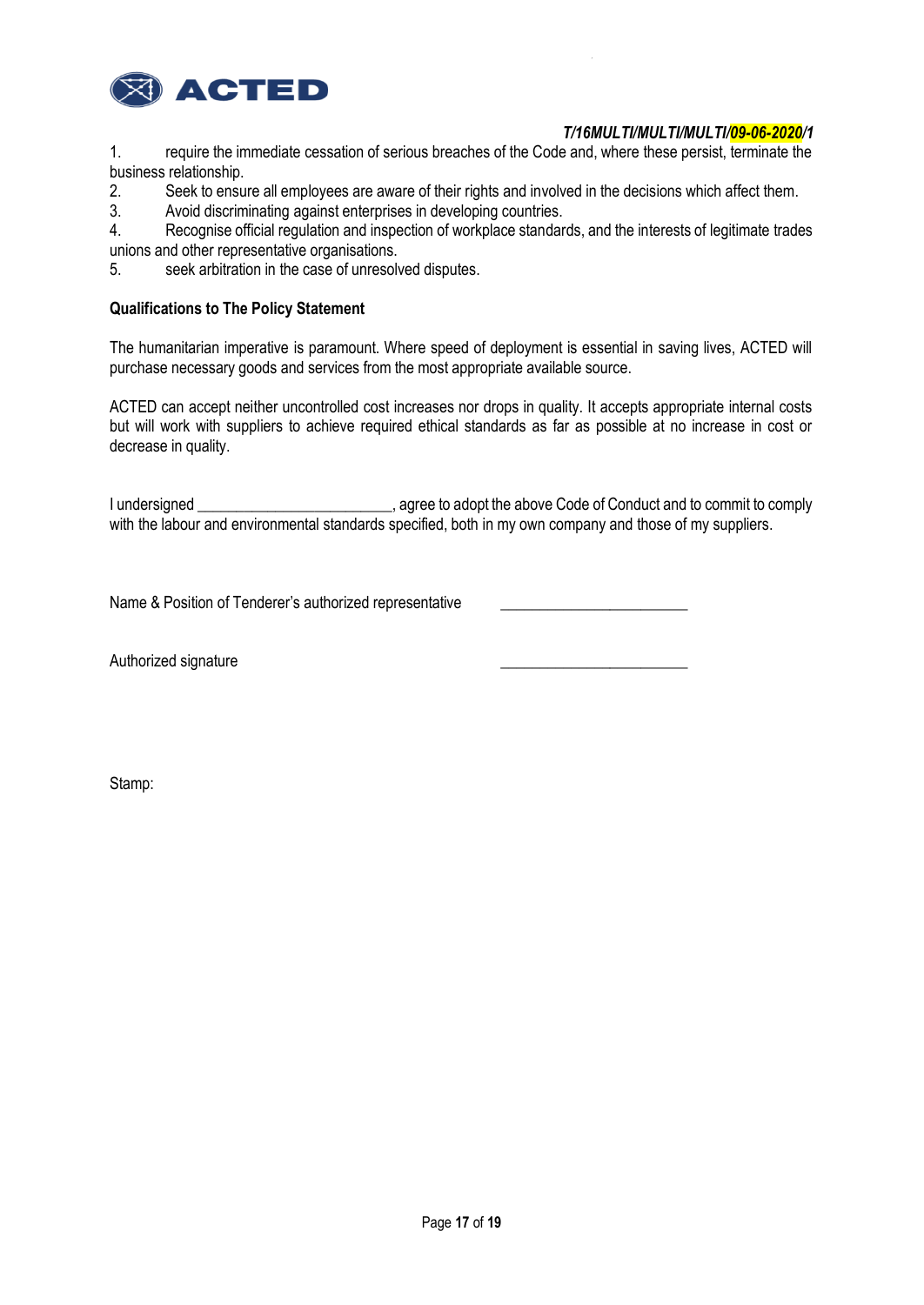

1. require the immediate cessation of serious breaches of the Code and, where these persist, terminate the business relationship.

2. Seek to ensure all employees are aware of their rights and involved in the decisions which affect them.

3. Avoid discriminating against enterprises in developing countries.

4. Recognise official regulation and inspection of workplace standards, and the interests of legitimate trades unions and other representative organisations.

5. seek arbitration in the case of unresolved disputes.

### **Qualifications to The Policy Statement**

The humanitarian imperative is paramount. Where speed of deployment is essential in saving lives, ACTED will purchase necessary goods and services from the most appropriate available source.

ACTED can accept neither uncontrolled cost increases nor drops in quality. It accepts appropriate internal costs but will work with suppliers to achieve required ethical standards as far as possible at no increase in cost or decrease in quality.

I undersigned \_\_\_\_\_\_\_\_\_\_\_\_\_\_\_\_\_\_\_\_\_\_\_\_\_\_, agree to adopt the above Code of Conduct and to commit to comply with the labour and environmental standards specified, both in my own company and those of my suppliers.

Name & Position of Tenderer's authorized representative

Authorized signature

Stamp: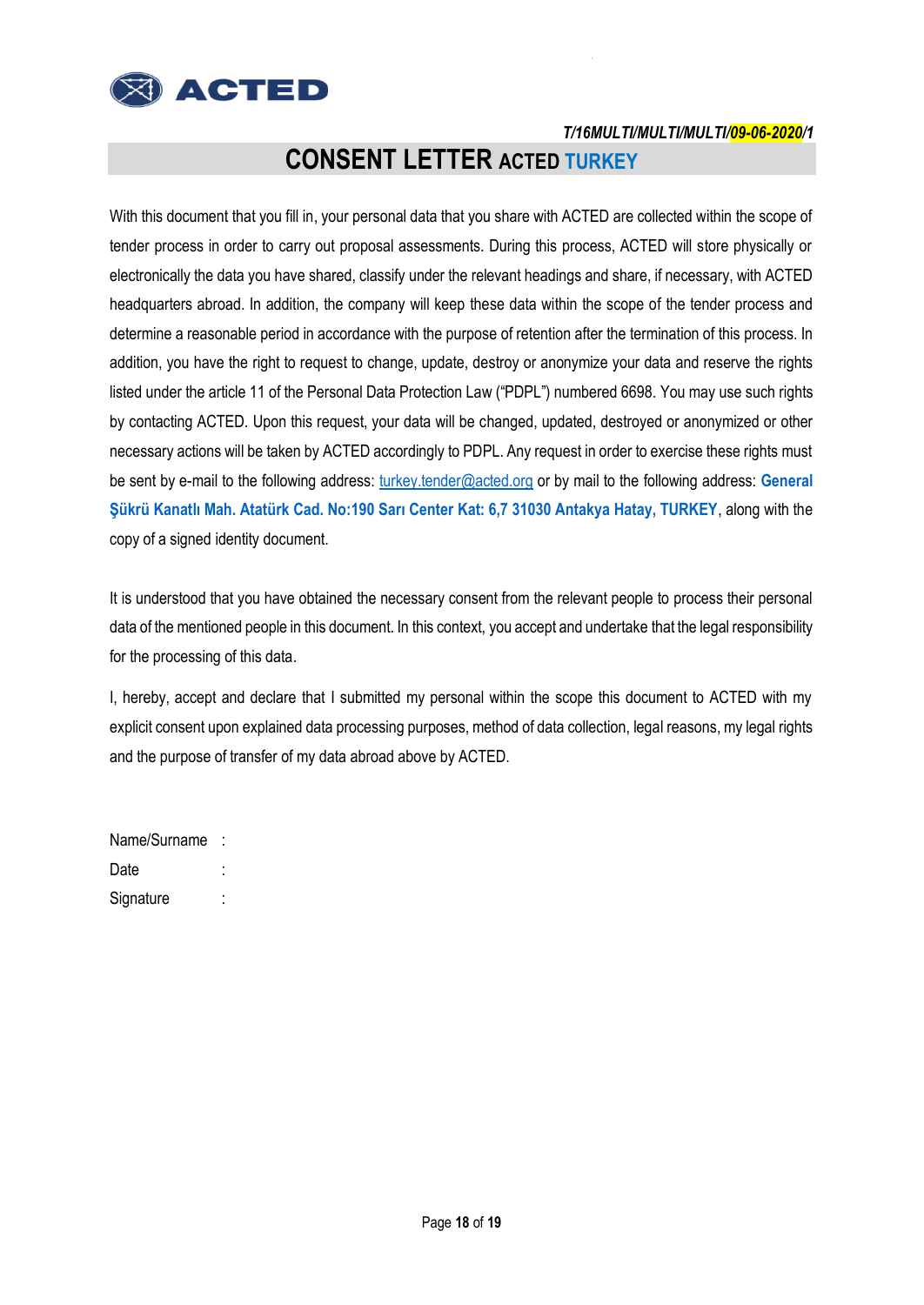

# **CONSENT LETTER ACTED TURKEY**

With this document that you fill in, your personal data that you share with ACTED are collected within the scope of tender process in order to carry out proposal assessments. During this process, ACTED will store physically or electronically the data you have shared, classify under the relevant headings and share, if necessary, with ACTED headquarters abroad. In addition, the company will keep these data within the scope of the tender process and determine a reasonable period in accordance with the purpose of retention after the termination of this process. In addition, you have the right to request to change, update, destroy or anonymize your data and reserve the rights listed under the article 11 of the Personal Data Protection Law ("PDPL") numbered 6698. You may use such rights by contacting ACTED. Upon this request, your data will be changed, updated, destroyed or anonymized or other necessary actions will be taken by ACTED accordingly to PDPL. Any request in order to exercise these rights must be sent by e-mail to the following address: [turkey.tender@acted.org](mailto:turkey.tender@acted.org) or by mail to the following address: **General Şükrü Kanatlı Mah. Atatürk Cad. No:190 Sarı Center Kat: 6,7 31030 Antakya Hatay, TURKEY**, along with the copy of a signed identity document.

It is understood that you have obtained the necessary consent from the relevant people to process their personal data of the mentioned people in this document. In this context, you accept and undertake that the legal responsibility for the processing of this data.

I, hereby, accept and declare that I submitted my personal within the scope this document to ACTED with my explicit consent upon explained data processing purposes, method of data collection, legal reasons, my legal rights and the purpose of transfer of my data abroad above by ACTED.

| Name/Surname |  |
|--------------|--|
| Date         |  |
| Signature    |  |